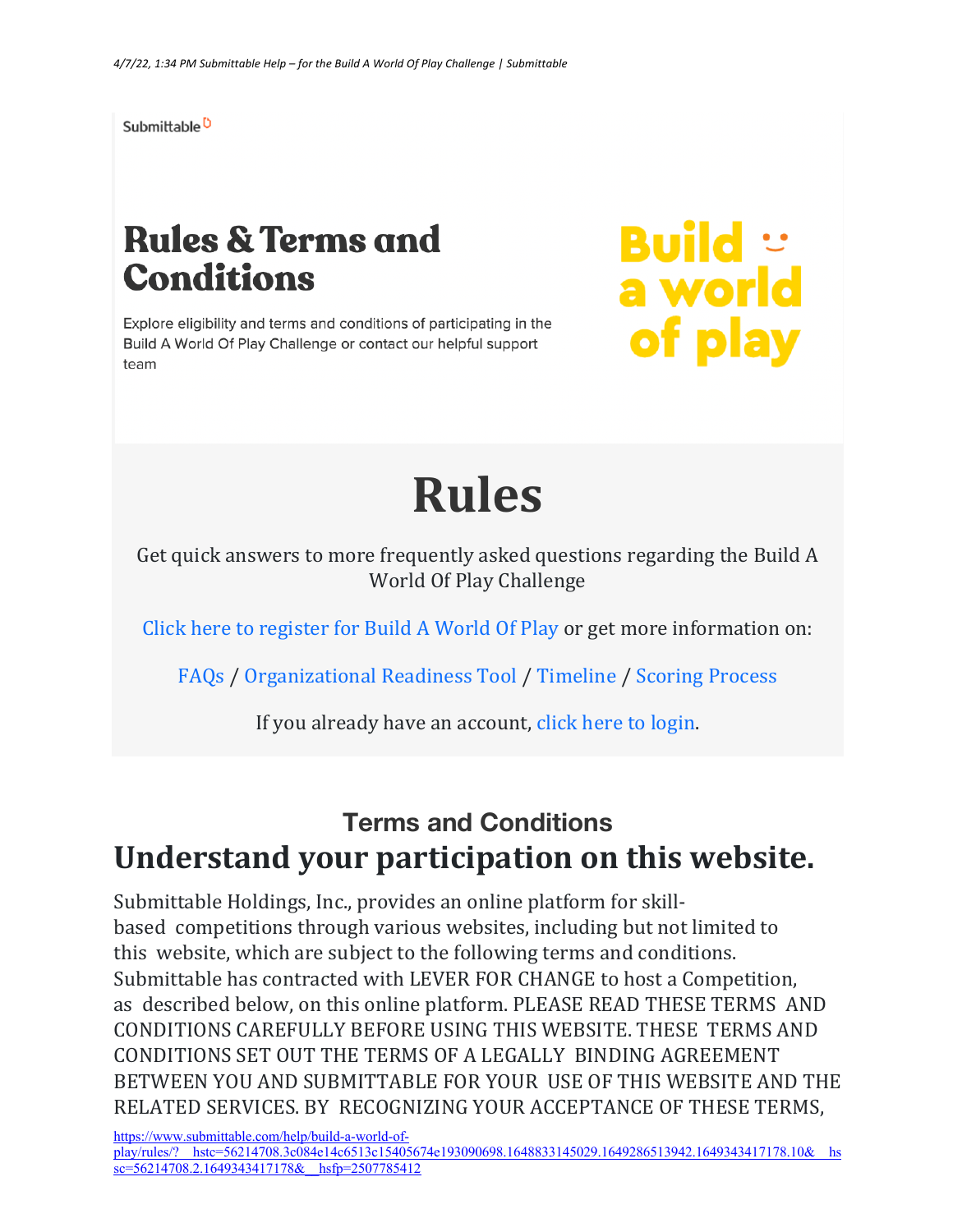Submittable<sup>D</sup>

## **Rules & Terms and Conditions**

Explore eligibility and terms and conditions of participating in the Build A World Of Play Challenge or contact our helpful support team

**Build** :<br>a world of play

# **Rules**

Get quick answers to more frequently asked questions regarding the Build A World Of Play Challenge

Click here to register for Build A World Of Play or get more information on:

FAQs / Organizational Readiness Tool / Timeline / Scoring Process

If you already have an account, click here to login.

#### **Terms and Conditions** Understand your participation on this website.

Submittable Holdings, Inc., provides an online platform for skillbased competitions through various websites, including but not limited to this website, which are subject to the following terms and conditions. Submittable has contracted with LEVER FOR CHANGE to host a Competition, as described below, on this online platform. PLEASE READ THESE TERMS AND CONDITIONS CAREFULLY BEFORE USING THIS WEBSITE. THESE TERMS AND CONDITIONS SET OUT THE TERMS OF A LEGALLY BINDING AGREEMENT BETWEEN YOU AND SUBMITTABLE FOR YOUR USE OF THIS WEBSITE AND THE RELATED SERVICES. BY RECOGNIZING YOUR ACCEPTANCE OF THESE TERMS,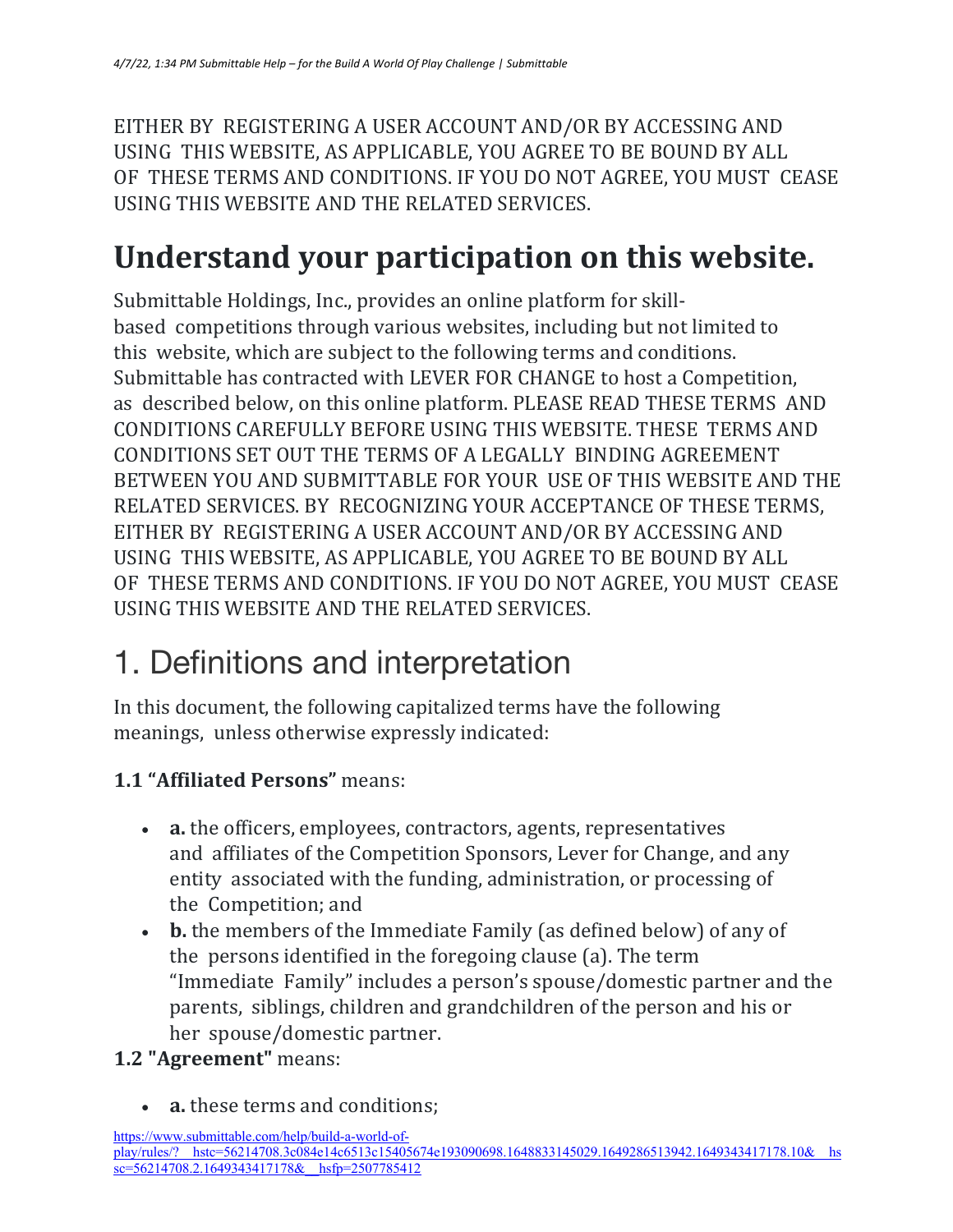EITHER BY REGISTERING A USER ACCOUNT AND/OR BY ACCESSING AND USING THIS WEBSITE, AS APPLICABLE, YOU AGREE TO BE BOUND BY ALL OF THESE TERMS AND CONDITIONS. IF YOU DO NOT AGREE, YOU MUST CEASE USING THIS WEBSITE AND THE RELATED SERVICES.

#### **Understand your participation on this website.**

Submittable Holdings, Inc., provides an online platform for skillbased competitions through various websites, including but not limited to this website, which are subject to the following terms and conditions. Submittable has contracted with LEVER FOR CHANGE to host a Competition, as described below, on this online platform. PLEASE READ THESE TERMS AND CONDITIONS CAREFULLY BEFORE USING THIS WEBSITE. THESE TERMS AND CONDITIONS SET OUT THE TERMS OF A LEGALLY BINDING AGREEMENT BETWEEN YOU AND SUBMITTABLE FOR YOUR USE OF THIS WEBSITE AND THE RELATED SERVICES. BY RECOGNIZING YOUR ACCEPTANCE OF THESE TERMS, EITHER BY REGISTERING A USER ACCOUNT AND/OR BY ACCESSING AND USING THIS WEBSITE, AS APPLICABLE, YOU AGREE TO BE BOUND BY ALL OF THESE TERMS AND CONDITIONS. IF YOU DO NOT AGREE, YOU MUST CEASE USING THIS WEBSITE AND THE RELATED SERVICES.

#### 1. Definitions and interpretation

In this document, the following capitalized terms have the following meanings, unless otherwise expressly indicated:

#### **1.1 "Affiliated Persons"** means:

- **a.** the officers, employees, contractors, agents, representatives and affiliates of the Competition Sponsors, Lever for Change, and any entity associated with the funding, administration, or processing of the Competition; and
- **b.** the members of the Immediate Family (as defined below) of any of the persons identified in the foregoing clause  $(a)$ . The term "Immediate Family" includes a person's spouse/domestic partner and the parents, siblings, children and grandchildren of the person and his or her spouse/domestic partner.

#### **1.2 "Agreement"** means:

a. these terms and conditions: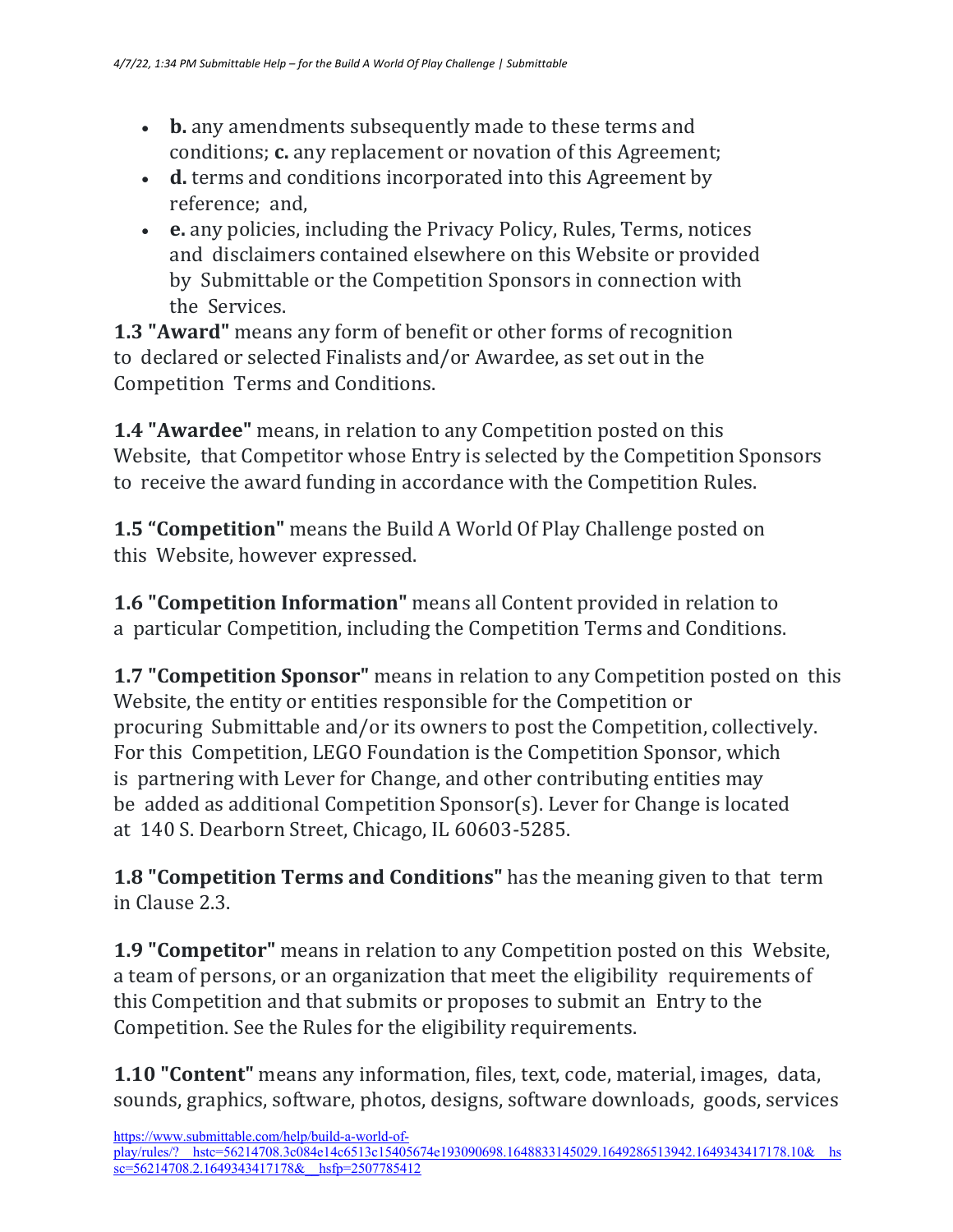- **b.** any amendments subsequently made to these terms and conditions; **c.** any replacement or novation of this Agreement;
- **d.** terms and conditions incorporated into this Agreement by reference; and,
- **e.** any policies, including the Privacy Policy, Rules, Terms, notices and disclaimers contained elsewhere on this Website or provided by Submittable or the Competition Sponsors in connection with the Services.

**1.3 "Award"** means any form of benefit or other forms of recognition to declared or selected Finalists and/or Awardee, as set out in the Competition Terms and Conditions.

**1.4 "Awardee"** means, in relation to any Competition posted on this Website, that Competitor whose Entry is selected by the Competition Sponsors to receive the award funding in accordance with the Competition Rules.

**1.5 "Competition"** means the Build A World Of Play Challenge posted on this Website, however expressed.

**1.6 "Competition Information"** means all Content provided in relation to a particular Competition, including the Competition Terms and Conditions.

**1.7 "Competition Sponsor"** means in relation to any Competition posted on this Website, the entity or entities responsible for the Competition or procuring Submittable and/or its owners to post the Competition, collectively. For this Competition, LEGO Foundation is the Competition Sponsor, which is partnering with Lever for Change, and other contributing entities may be added as additional Competition Sponsor(s). Lever for Change is located at 140 S. Dearborn Street, Chicago, IL 60603-5285.

**1.8 "Competition Terms and Conditions"** has the meaning given to that term in Clause 2.3.

**1.9 "Competitor"** means in relation to any Competition posted on this Website, a team of persons, or an organization that meet the eligibility requirements of this Competition and that submits or proposes to submit an Entry to the Competition. See the Rules for the eligibility requirements.

**1.10 "Content"** means any information, files, text, code, material, images, data, sounds, graphics, software, photos, designs, software downloads, goods, services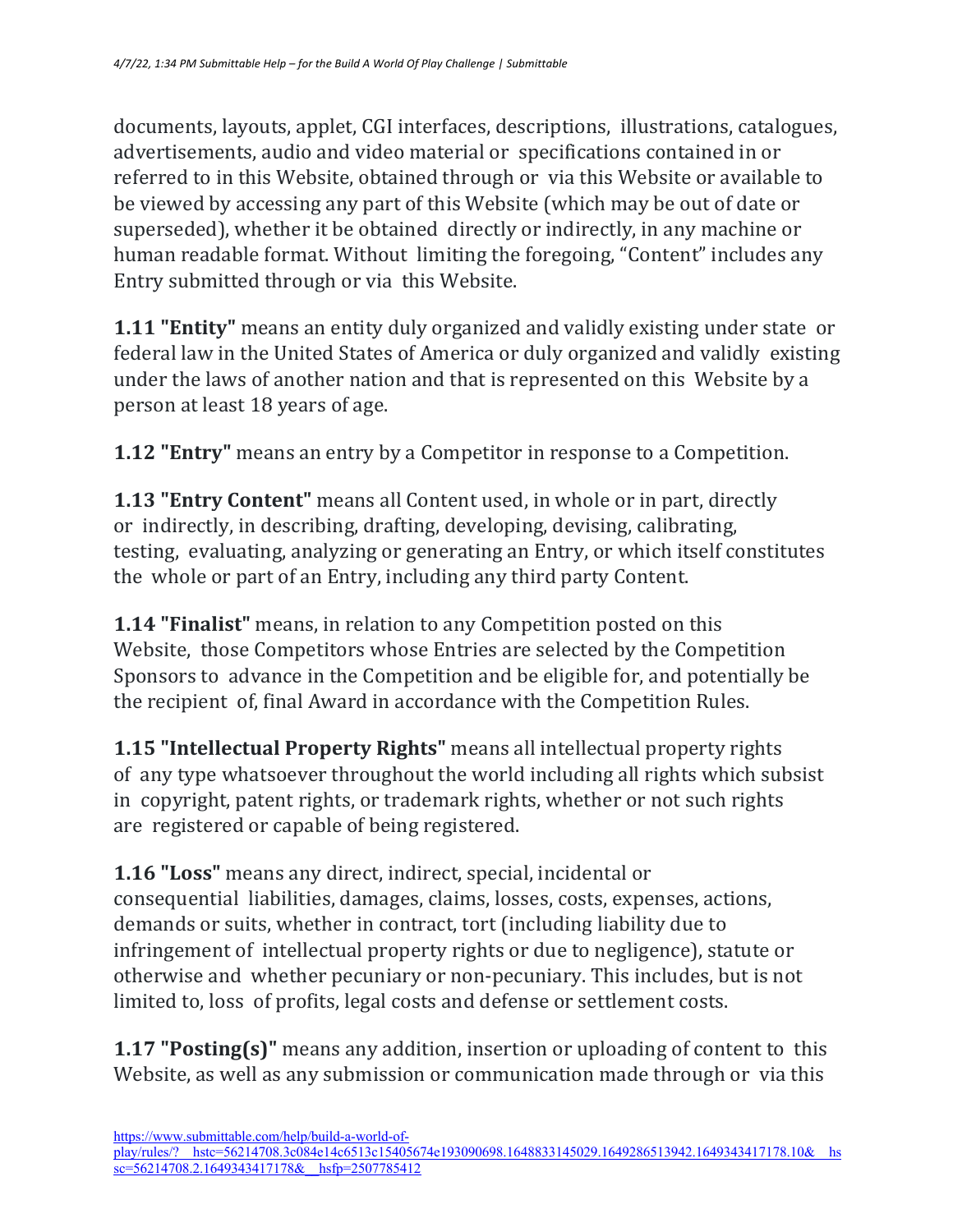documents, layouts, applet, CGI interfaces, descriptions, illustrations, catalogues, advertisements, audio and video material or specifications contained in or referred to in this Website, obtained through or via this Website or available to be viewed by accessing any part of this Website (which may be out of date or superseded), whether it be obtained directly or indirectly, in any machine or human readable format. Without limiting the foregoing, "Content" includes any Entry submitted through or via this Website.

**1.11 "Entity"** means an entity duly organized and validly existing under state or federal law in the United States of America or duly organized and validly existing under the laws of another nation and that is represented on this Website by a person at least 18 years of age.

**1.12 "Entry"** means an entry by a Competitor in response to a Competition.

**1.13 "Entry Content"** means all Content used, in whole or in part, directly or indirectly, in describing, drafting, developing, devising, calibrating, testing, evaluating, analyzing or generating an Entry, or which itself constitutes the whole or part of an Entry, including any third party Content.

**1.14 "Finalist"** means, in relation to any Competition posted on this Website, those Competitors whose Entries are selected by the Competition Sponsors to advance in the Competition and be eligible for, and potentially be the recipient of, final Award in accordance with the Competition Rules.

1.15 "Intellectual Property Rights" means all intellectual property rights of any type whatsoever throughout the world including all rights which subsist in copyright, patent rights, or trademark rights, whether or not such rights are registered or capable of being registered.

**1.16 "Loss"** means any direct, indirect, special, incidental or consequential liabilities, damages, claims, losses, costs, expenses, actions, demands or suits, whether in contract, tort (including liability due to infringement of intellectual property rights or due to negligence), statute or otherwise and whether pecuniary or non-pecuniary. This includes, but is not limited to, loss of profits, legal costs and defense or settlement costs.

**1.17 "Posting(s)"** means any addition, insertion or uploading of content to this Website, as well as any submission or communication made through or via this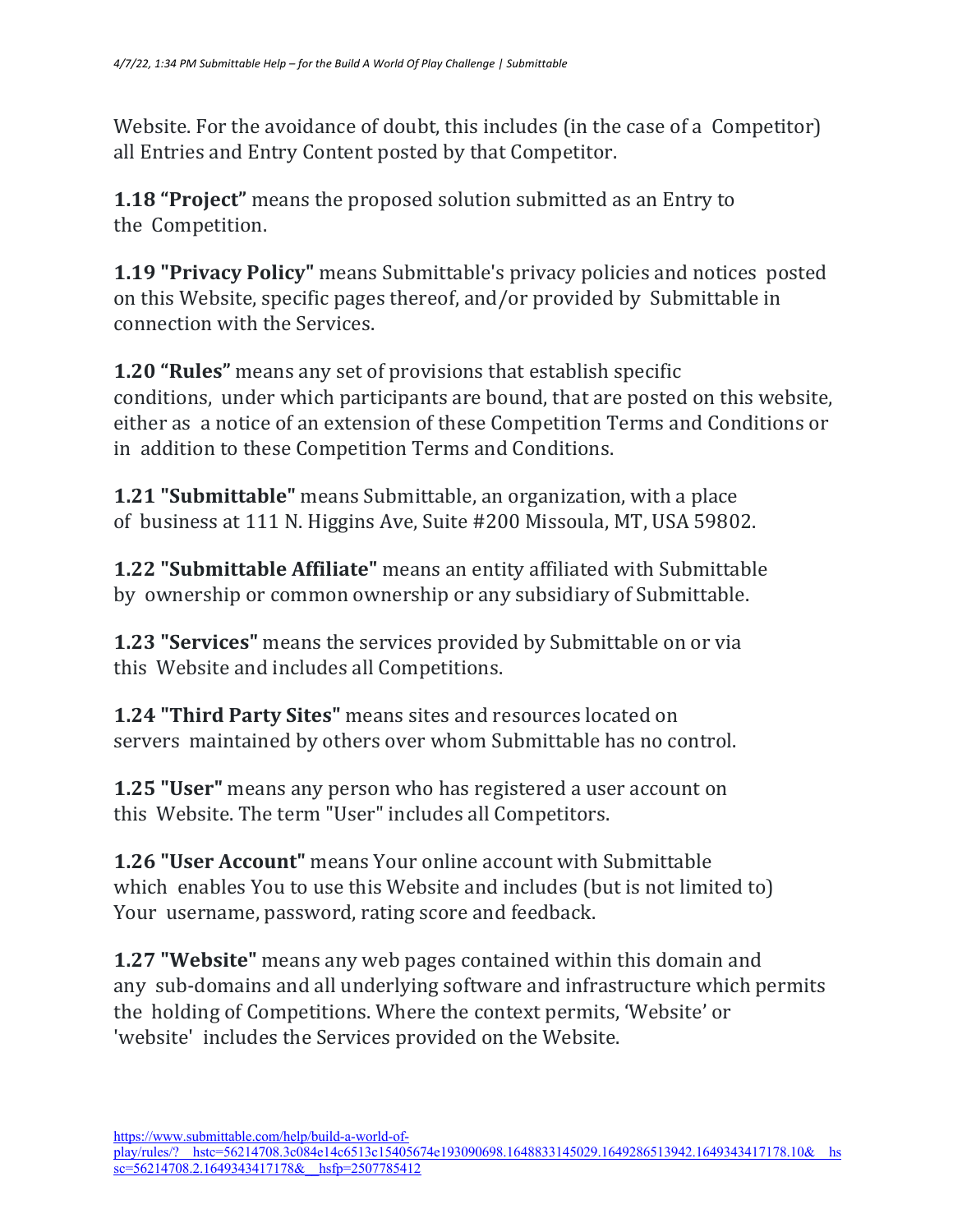Website. For the avoidance of doubt, this includes (in the case of a Competitor) all Entries and Entry Content posted by that Competitor.

**1.18 "Project"** means the proposed solution submitted as an Entry to the Competition.

**1.19 "Privacy Policy"** means Submittable's privacy policies and notices posted on this Website, specific pages thereof, and/or provided by Submittable in connection with the Services.

**1.20 "Rules"** means any set of provisions that establish specific conditions, under which participants are bound, that are posted on this website, either as a notice of an extension of these Competition Terms and Conditions or in addition to these Competition Terms and Conditions.

**1.21 "Submittable"** means Submittable, an organization, with a place of business at 111 N. Higgins Ave, Suite #200 Missoula, MT, USA 59802.

**1.22 "Submittable Affiliate"** means an entity affiliated with Submittable by ownership or common ownership or any subsidiary of Submittable.

**1.23 "Services"** means the services provided by Submittable on or via this Website and includes all Competitions.

**1.24 "Third Party Sites"** means sites and resources located on servers maintained by others over whom Submittable has no control.

**1.25 "User"** means any person who has registered a user account on this Website. The term "User" includes all Competitors.

**1.26 "User Account"** means Your online account with Submittable which enables You to use this Website and includes (but is not limited to) Your username, password, rating score and feedback.

**1.27 "Website"** means any web pages contained within this domain and any sub-domains and all underlying software and infrastructure which permits the holding of Competitions. Where the context permits, 'Website' or 'website' includes the Services provided on the Website.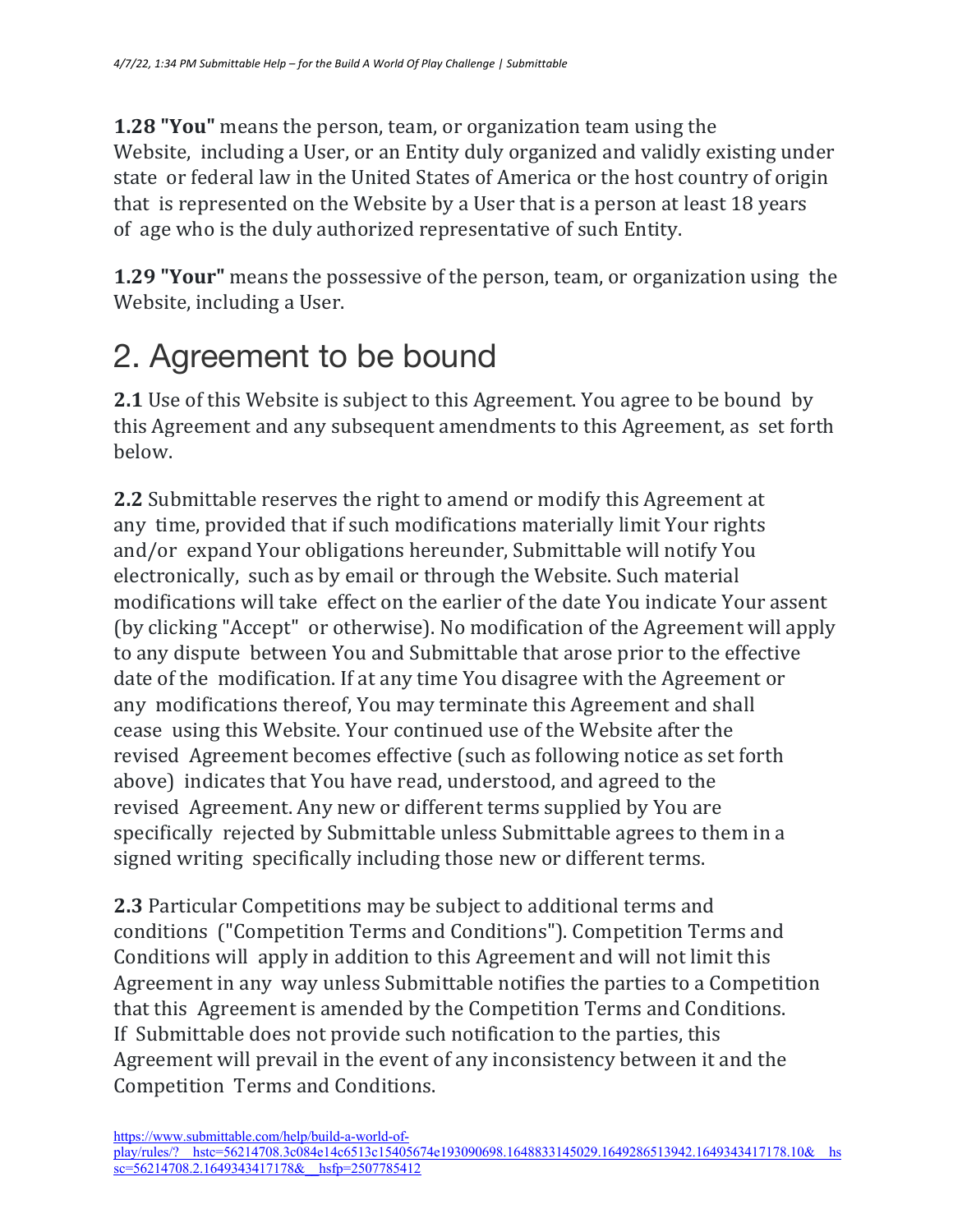**1.28 "You"** means the person, team, or organization team using the Website, including a User, or an Entity duly organized and validly existing under state or federal law in the United States of America or the host country of origin that is represented on the Website by a User that is a person at least 18 years of age who is the duly authorized representative of such Entity.

**1.29 "Your"** means the possessive of the person, team, or organization using the Website, including a User.

### 2. Agreement to be bound

**2.1** Use of this Website is subject to this Agreement. You agree to be bound by this Agreement and any subsequent amendments to this Agreement, as set forth below.

**2.2** Submittable reserves the right to amend or modify this Agreement at any time, provided that if such modifications materially limit Your rights and/or expand Your obligations hereunder, Submittable will notify You electronically, such as by email or through the Website. Such material modifications will take effect on the earlier of the date You indicate Your assent (by clicking "Accept" or otherwise). No modification of the Agreement will apply to any dispute between You and Submittable that arose prior to the effective date of the modification. If at any time You disagree with the Agreement or any modifications thereof, You may terminate this Agreement and shall cease using this Website. Your continued use of the Website after the revised Agreement becomes effective (such as following notice as set forth above) indicates that You have read, understood, and agreed to the revised Agreement. Any new or different terms supplied by You are specifically rejected by Submittable unless Submittable agrees to them in a signed writing specifically including those new or different terms.

**2.3** Particular Competitions may be subject to additional terms and conditions ("Competition Terms and Conditions"). Competition Terms and Conditions will apply in addition to this Agreement and will not limit this Agreement in any way unless Submittable notifies the parties to a Competition that this Agreement is amended by the Competition Terms and Conditions. If Submittable does not provide such notification to the parties, this Agreement will prevail in the event of any inconsistency between it and the Competition Terms and Conditions.

https://www.submittable.com/help/build-a-world-of-

play/rules/?\_\_hstc=56214708.3c084e14c6513c15405674e193090698.1648833145029.1649286513942.1649343417178.10&\_\_hs  $s = 56214708.2.16493434171788$  hsfp=2507785412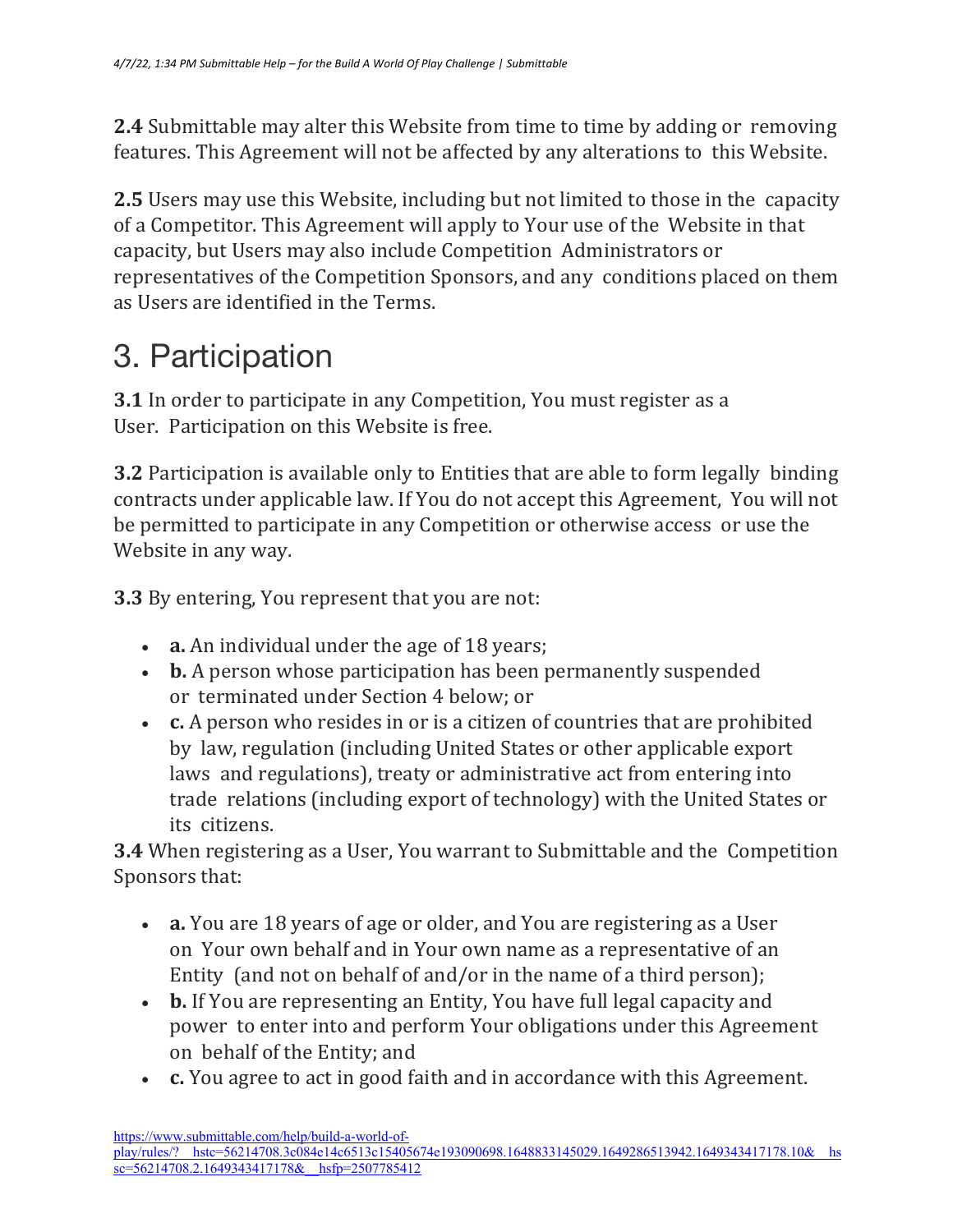**2.4** Submittable may alter this Website from time to time by adding or removing features. This Agreement will not be affected by any alterations to this Website.

**2.5** Users may use this Website, including but not limited to those in the capacity of a Competitor. This Agreement will apply to Your use of the Website in that capacity, but Users may also include Competition Administrators or representatives of the Competition Sponsors, and any conditions placed on them as Users are identified in the Terms.

#### 3. Participation

**3.1** In order to participate in any Competition, You must register as a User. Participation on this Website is free.

**3.2** Participation is available only to Entities that are able to form legally binding contracts under applicable law. If You do not accept this Agreement, You will not be permitted to participate in any Competition or otherwise access or use the Website in any way.

**3.3** By entering, You represent that you are not:

- **a.** An individual under the age of 18 years;
- **b.** A person whose participation has been permanently suspended or terminated under Section 4 below; or
- **c.** A person who resides in or is a citizen of countries that are prohibited by law, regulation (including United States or other applicable export laws and regulations), treaty or administrative act from entering into trade relations (including export of technology) with the United States or its citizens.

**3.4** When registering as a User, You warrant to Submittable and the Competition Sponsors that:

- **a.** You are 18 years of age or older, and You are registering as a User on Your own behalf and in Your own name as a representative of an Entity (and not on behalf of and/or in the name of a third person);
- **b.** If You are representing an Entity, You have full legal capacity and power to enter into and perform Your obligations under this Agreement on behalf of the Entity; and
- **c.** You agree to act in good faith and in accordance with this Agreement.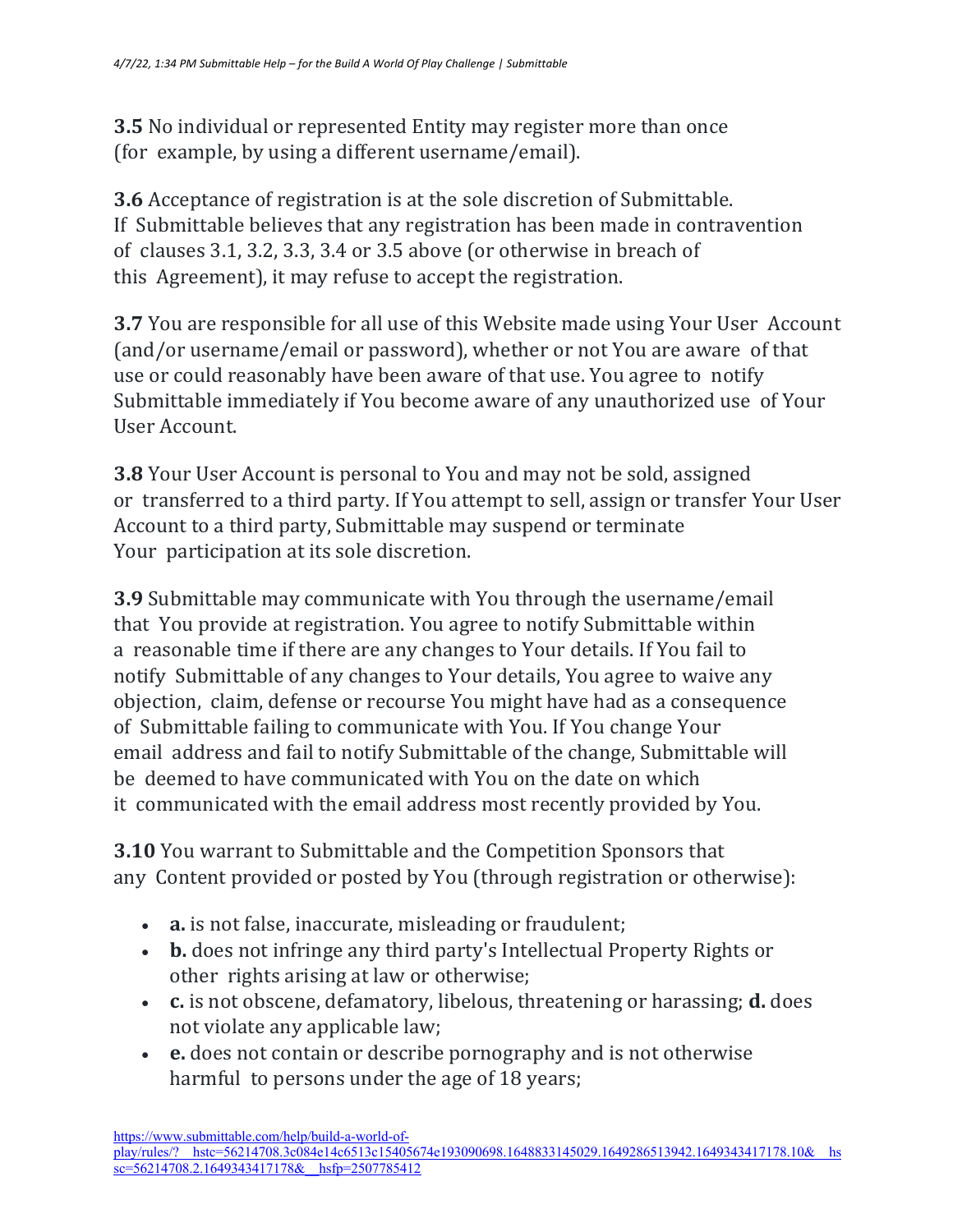**3.5** No individual or represented Entity may register more than once (for example, by using a different username/email).

**3.6** Acceptance of registration is at the sole discretion of Submittable. If Submittable believes that any registration has been made in contravention of clauses 3.1, 3.2, 3.3, 3.4 or 3.5 above (or otherwise in breach of this Agreement), it may refuse to accept the registration.

**3.7** You are responsible for all use of this Website made using Your User Account (and/or username/email or password), whether or not You are aware of that use or could reasonably have been aware of that use. You agree to notify Submittable immediately if You become aware of any unauthorized use of Your User Account.

**3.8** Your User Account is personal to You and may not be sold, assigned or transferred to a third party. If You attempt to sell, assign or transfer Your User Account to a third party, Submittable may suspend or terminate Your participation at its sole discretion.

**3.9** Submittable may communicate with You through the username/email that You provide at registration. You agree to notify Submittable within a reasonable time if there are any changes to Your details. If You fail to notify Submittable of any changes to Your details, You agree to waive any objection, claim, defense or recourse You might have had as a consequence of Submittable failing to communicate with You. If You change Your email address and fail to notify Submittable of the change, Submittable will be deemed to have communicated with You on the date on which it communicated with the email address most recently provided by You.

**3.10** You warrant to Submittable and the Competition Sponsors that any Content provided or posted by You (through registration or otherwise):

- **a.** is not false, inaccurate, misleading or fraudulent;
- **b.** does not infringe any third party's Intellectual Property Rights or other rights arising at law or otherwise;
- **c.** is not obscene, defamatory, libelous, threatening or harassing; **d.** does not violate any applicable law;
- **e.** does not contain or describe pornography and is not otherwise harmful to persons under the age of 18 years;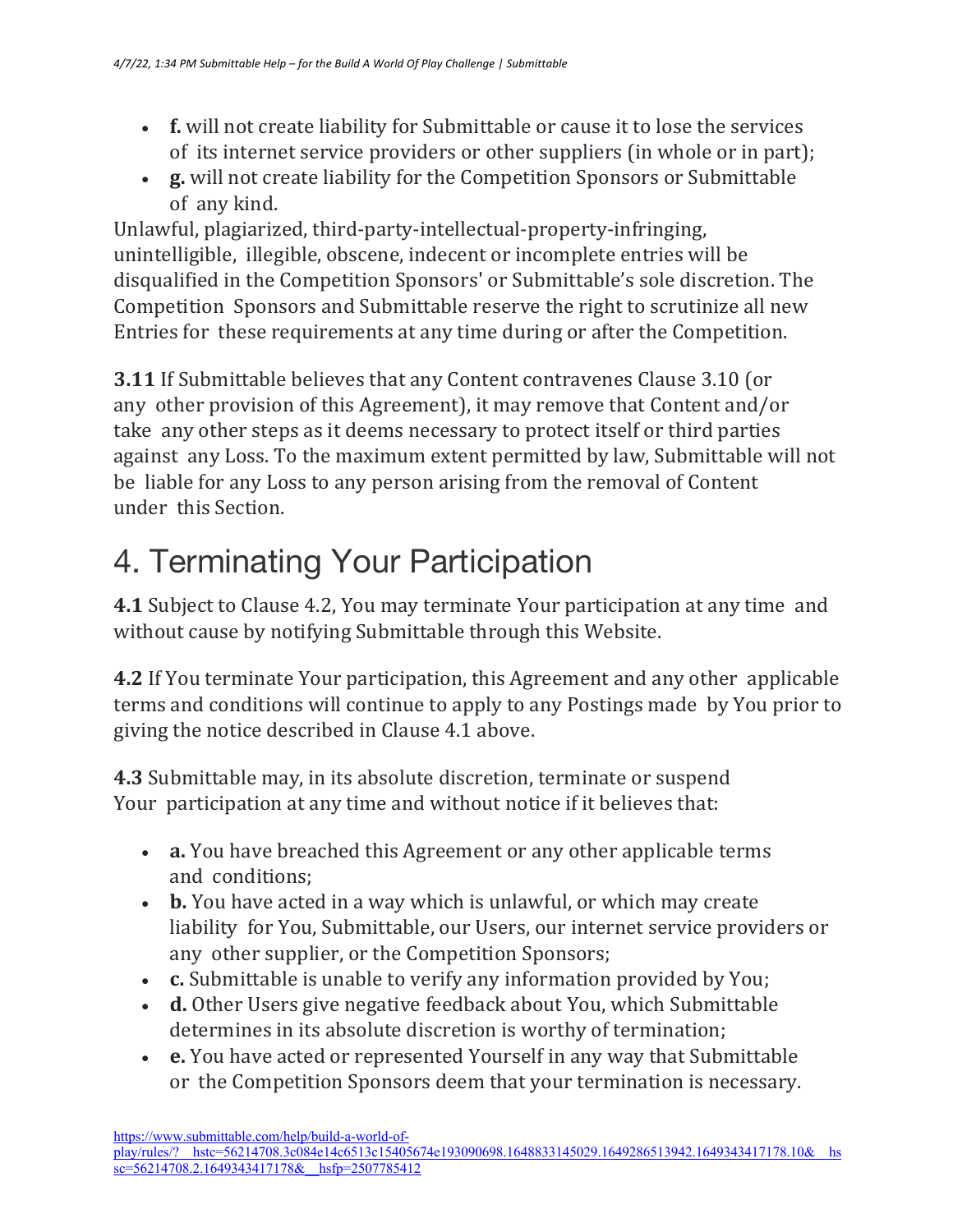- **f.** will not create liability for Submittable or cause it to lose the services of its internet service providers or other suppliers (in whole or in part);
- **g.** will not create liability for the Competition Sponsors or Submittable of any kind.

Unlawful, plagiarized, third-party-intellectual-property-infringing, unintelligible, illegible, obscene, indecent or incomplete entries will be disqualified in the Competition Sponsors' or Submittable's sole discretion. The Competition Sponsors and Submittable reserve the right to scrutinize all new Entries for these requirements at any time during or after the Competition.

**3.11** If Submittable believes that any Content contravenes Clause 3.10 (or any other provision of this Agreement), it may remove that Content and/or take any other steps as it deems necessary to protect itself or third parties against any Loss. To the maximum extent permitted by law, Submittable will not be liable for any Loss to any person arising from the removal of Content under this Section.

# 4. Terminating Your Participation

**4.1** Subject to Clause 4.2, You may terminate Your participation at any time and without cause by notifying Submittable through this Website.

**4.2** If You terminate Your participation, this Agreement and any other applicable terms and conditions will continue to apply to any Postings made by You prior to giving the notice described in Clause 4.1 above.

**4.3** Submittable may, in its absolute discretion, terminate or suspend Your participation at any time and without notice if it believes that:

- **a.** You have breached this Agreement or any other applicable terms and conditions;
- **b.** You have acted in a way which is unlawful, or which may create liability for You, Submittable, our Users, our internet service providers or any other supplier, or the Competition Sponsors;
- **c.** Submittable is unable to verify any information provided by You;
- **d.** Other Users give negative feedback about You, which Submittable determines in its absolute discretion is worthy of termination:
- **e.** You have acted or represented Yourself in any way that Submittable or the Competition Sponsors deem that your termination is necessary.

https://www.submittable.com/help/build-a-world-ofplay/rules/?\_\_hstc=56214708.3c084e14c6513c15405674e193090698.1648833145029.1649286513942.1649343417178.10&\_\_hs  $s = 56214708.2.16493434171788$  hsfp=2507785412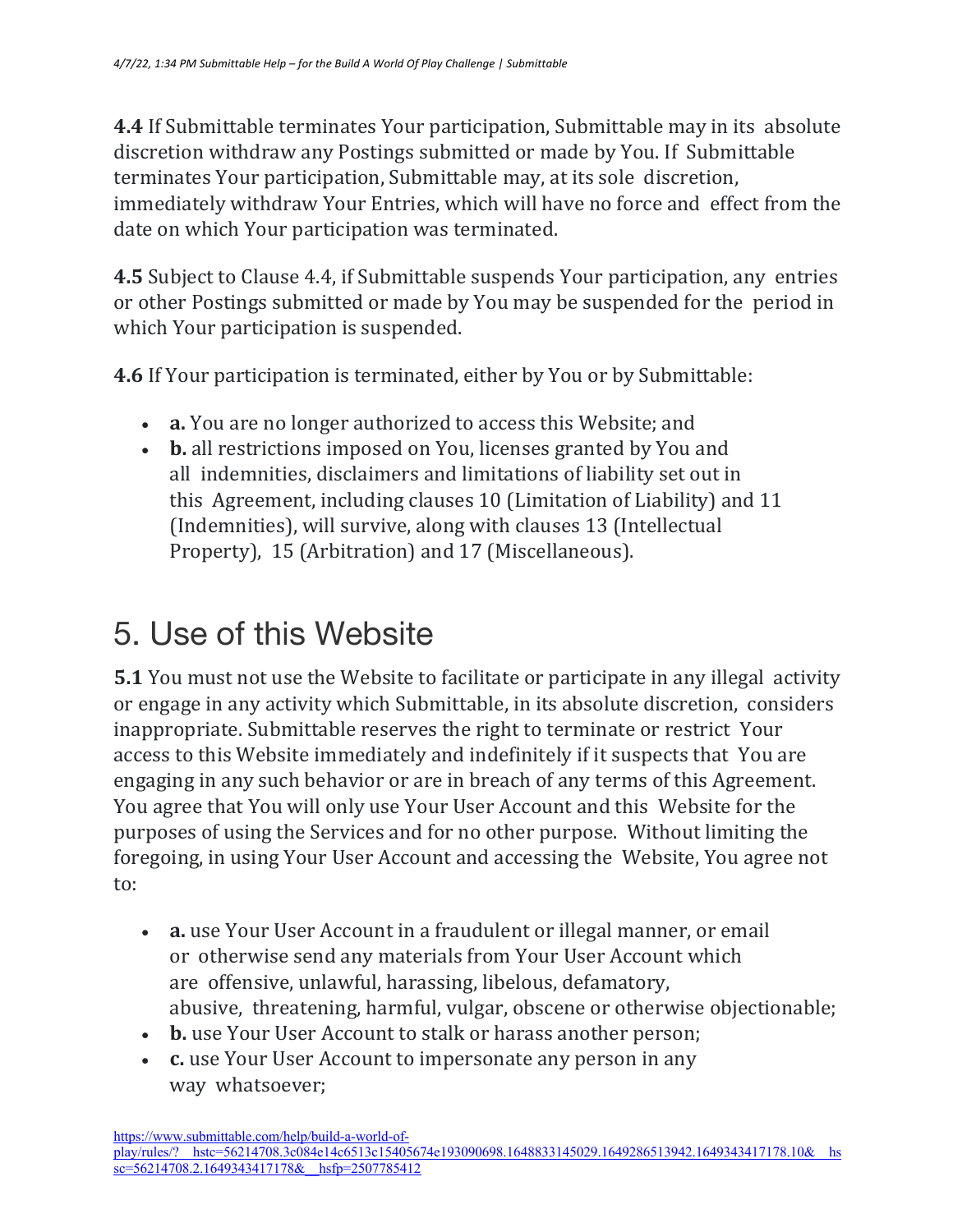**4.4** If Submittable terminates Your participation, Submittable may in its absolute discretion withdraw any Postings submitted or made by You. If Submittable terminates Your participation, Submittable may, at its sole discretion, immediately withdraw Your Entries, which will have no force and effect from the date on which Your participation was terminated.

**4.5** Subject to Clause 4.4, if Submittable suspends Your participation, any entries or other Postings submitted or made by You may be suspended for the period in which Your participation is suspended.

**4.6** If Your participation is terminated, either by You or by Submittable:

- **a.** You are no longer authorized to access this Website; and
- b. all restrictions imposed on You, licenses granted by You and all indemnities, disclaimers and limitations of liability set out in this Agreement, including clauses 10 (Limitation of Liability) and 11 (Indemnities), will survive, along with clauses 13 (Intellectual Property), 15 (Arbitration) and 17 (Miscellaneous).

#### 5. Use of this Website

**5.1** You must not use the Website to facilitate or participate in any illegal activity or engage in any activity which Submittable, in its absolute discretion, considers inappropriate. Submittable reserves the right to terminate or restrict Your access to this Website immediately and indefinitely if it suspects that You are engaging in any such behavior or are in breach of any terms of this Agreement. You agree that You will only use Your User Account and this Website for the purposes of using the Services and for no other purpose. Without limiting the foregoing, in using Your User Account and accessing the Website, You agree not to:

- **a.** use Your User Account in a fraudulent or illegal manner, or email or otherwise send any materials from Your User Account which are offensive, unlawful, harassing, libelous, defamatory, abusive, threatening, harmful, vulgar, obscene or otherwise objectionable;
- **b.** use Your User Account to stalk or harass another person;
- **c.** use Your User Account to impersonate any person in any way whatsoever;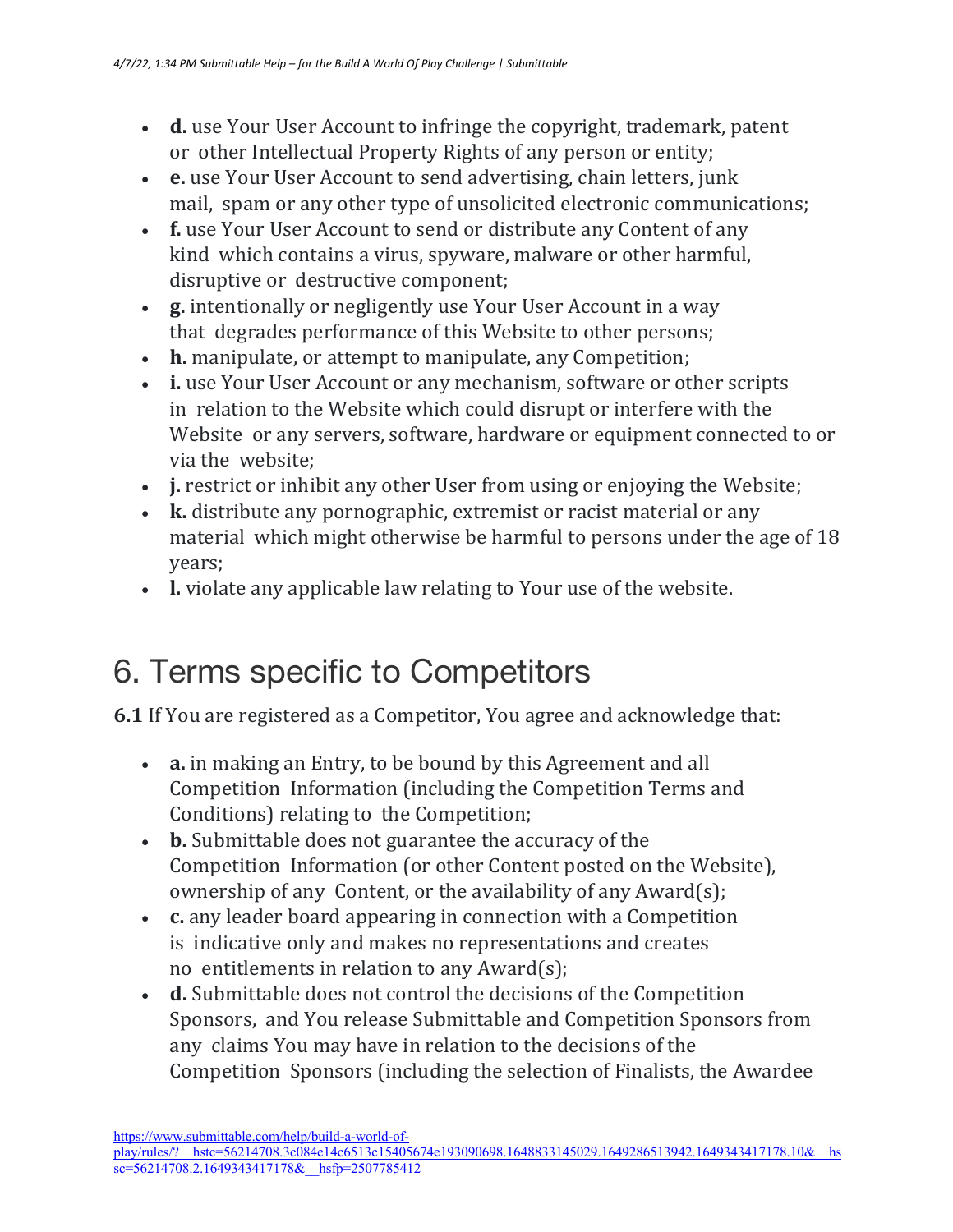- **d.** use Your User Account to infringe the copyright, trademark, patent or other Intellectual Property Rights of any person or entity;
- **e.** use Your User Account to send advertising, chain letters, junk mail, spam or any other type of unsolicited electronic communications;
- **f.** use Your User Account to send or distribute any Content of any kind which contains a virus, spyware, malware or other harmful, disruptive or destructive component;
- **g.** intentionally or negligently use Your User Account in a way that degrades performance of this Website to other persons;
- **h.** manipulate, or attempt to manipulate, any Competition;
- i. use Your User Account or any mechanism, software or other scripts in relation to the Website which could disrupt or interfere with the Website or any servers, software, hardware or equipment connected to or via the website:
- **j.** restrict or inhibit any other User from using or enjoying the Website;
- **k.** distribute any pornographic, extremist or racist material or any material which might otherwise be harmful to persons under the age of 18 years;
- **l.** violate any applicable law relating to Your use of the website.

#### 6. Terms specific to Competitors

**6.1** If You are registered as a Competitor, You agree and acknowledge that:

- **a.** in making an Entry, to be bound by this Agreement and all Competition Information (including the Competition Terms and Conditions) relating to the Competition;
- **b.** Submittable does not guarantee the accuracy of the Competition Information (or other Content posted on the Website), ownership of any Content, or the availability of any Award(s);
- **c.** any leader board appearing in connection with a Competition is indicative only and makes no representations and creates no entitlements in relation to any  $Award(s)$ ;
- **d.** Submittable does not control the decisions of the Competition Sponsors, and You release Submittable and Competition Sponsors from any claims You may have in relation to the decisions of the Competition Sponsors (including the selection of Finalists, the Awardee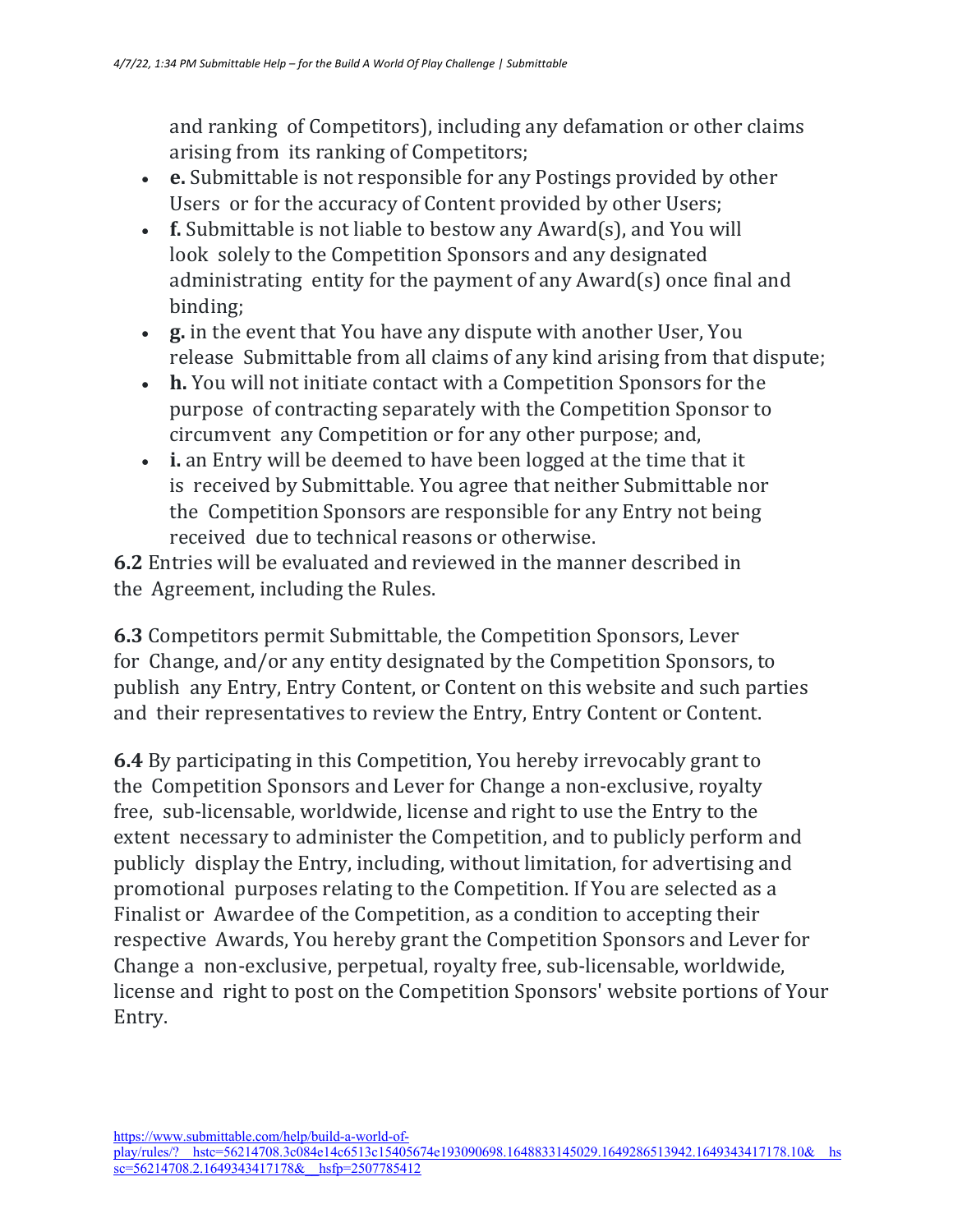and ranking of Competitors), including any defamation or other claims arising from its ranking of Competitors;

- **e.** Submittable is not responsible for any Postings provided by other Users or for the accuracy of Content provided by other Users;
- **f.** Submittable is not liable to bestow any Award(s), and You will look solely to the Competition Sponsors and any designated administrating entity for the payment of any  $Award(s)$  once final and binding;
- **g.** in the event that You have any dispute with another User, You release Submittable from all claims of any kind arising from that dispute;
- **h.** You will not initiate contact with a Competition Sponsors for the purpose of contracting separately with the Competition Sponsor to circumvent any Competition or for any other purpose; and,
- **i.** an Entry will be deemed to have been logged at the time that it is received by Submittable. You agree that neither Submittable nor the Competition Sponsors are responsible for any Entry not being received due to technical reasons or otherwise.

**6.2** Entries will be evaluated and reviewed in the manner described in the Agreement, including the Rules.

**6.3** Competitors permit Submittable, the Competition Sponsors, Lever for Change, and/or any entity designated by the Competition Sponsors, to publish any Entry, Entry Content, or Content on this website and such parties and their representatives to review the Entry, Entry Content or Content.

**6.4** By participating in this Competition, You hereby irrevocably grant to the Competition Sponsors and Lever for Change a non-exclusive, royalty free, sub-licensable, worldwide, license and right to use the Entry to the extent necessary to administer the Competition, and to publicly perform and publicly display the Entry, including, without limitation, for advertising and promotional purposes relating to the Competition. If You are selected as a Finalist or Awardee of the Competition, as a condition to accepting their respective Awards, You hereby grant the Competition Sponsors and Lever for Change a non-exclusive, perpetual, royalty free, sub-licensable, worldwide, license and right to post on the Competition Sponsors' website portions of Your Entry.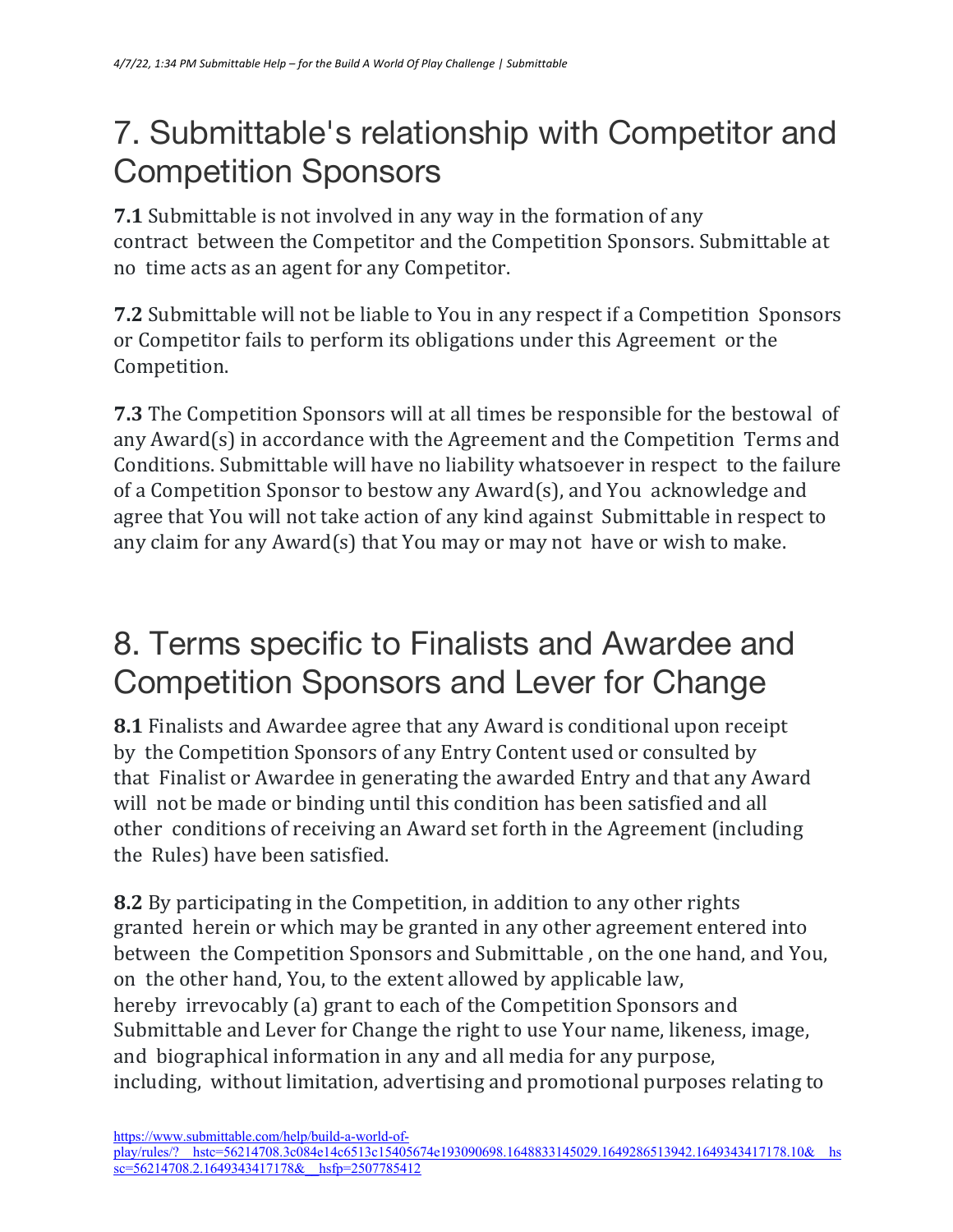#### 7. Submittable's relationship with Competitor and Competition Sponsors

**7.1** Submittable is not involved in any way in the formation of any contract between the Competitor and the Competition Sponsors. Submittable at no time acts as an agent for any Competitor.

**7.2** Submittable will not be liable to You in any respect if a Competition Sponsors or Competitor fails to perform its obligations under this Agreement or the Competition.

**7.3** The Competition Sponsors will at all times be responsible for the bestowal of any  $Award(s)$  in accordance with the Agreement and the Competition Terms and Conditions. Submittable will have no liability whatsoever in respect to the failure of a Competition Sponsor to bestow any Award(s), and You acknowledge and agree that You will not take action of any kind against Submittable in respect to any claim for any Award(s) that You may or may not have or wish to make.

#### 8. Terms specific to Finalists and Awardee and Competition Sponsors and Lever for Change

**8.1** Finalists and Awardee agree that any Award is conditional upon receipt by the Competition Sponsors of any Entry Content used or consulted by that Finalist or Awardee in generating the awarded Entry and that any Award will not be made or binding until this condition has been satisfied and all other conditions of receiving an Award set forth in the Agreement (including the Rules) have been satisfied.

**8.2** By participating in the Competition, in addition to any other rights granted herein or which may be granted in any other agreement entered into between the Competition Sponsors and Submittable, on the one hand, and You, on the other hand, You, to the extent allowed by applicable law, hereby irrevocably (a) grant to each of the Competition Sponsors and Submittable and Lever for Change the right to use Your name, likeness, image, and biographical information in any and all media for any purpose, including, without limitation, advertising and promotional purposes relating to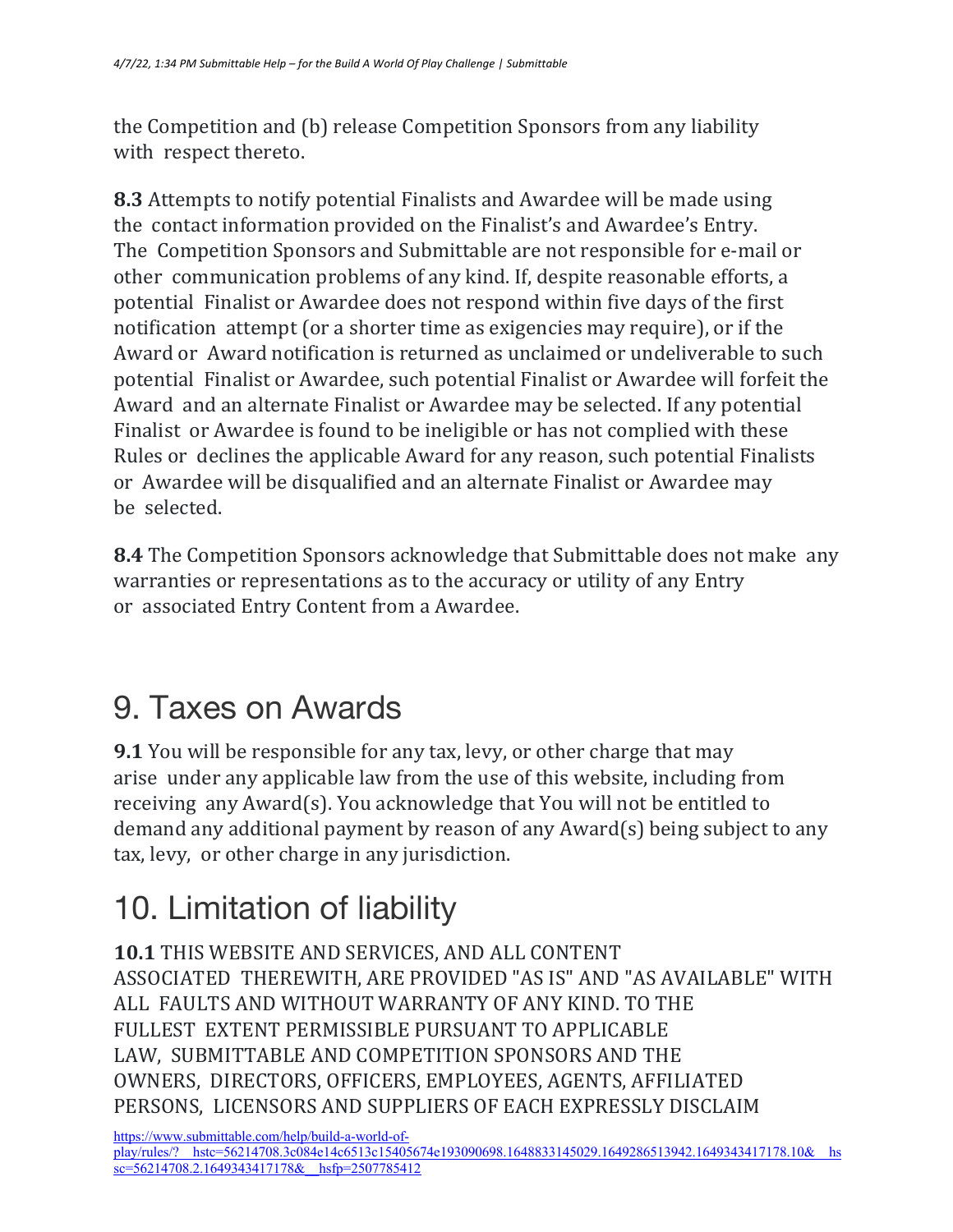the Competition and (b) release Competition Sponsors from any liability with respect thereto.

**8.3** Attempts to notify potential Finalists and Awardee will be made using the contact information provided on the Finalist's and Awardee's Entry. The Competition Sponsors and Submittable are not responsible for e-mail or other communication problems of any kind. If, despite reasonable efforts, a potential Finalist or Awardee does not respond within five days of the first notification attempt (or a shorter time as exigencies may require), or if the Award or Award notification is returned as unclaimed or undeliverable to such potential Finalist or Awardee, such potential Finalist or Awardee will forfeit the Award and an alternate Finalist or Awardee may be selected. If any potential Finalist or Awardee is found to be ineligible or has not complied with these Rules or declines the applicable Award for any reason, such potential Finalists or Awardee will be disqualified and an alternate Finalist or Awardee may be selected.

**8.4** The Competition Sponsors acknowledge that Submittable does not make any warranties or representations as to the accuracy or utility of any Entry or associated Entry Content from a Awardee.

### 9. Taxes on Awards

**9.1** You will be responsible for any tax, levy, or other charge that may arise under any applicable law from the use of this website, including from receiving any Award(s). You acknowledge that You will not be entitled to demand any additional payment by reason of any  $Award(s)$  being subject to any tax, levy, or other charge in any jurisdiction.

# 10. Limitation of liability

**10.1 THIS WEBSITE AND SERVICES, AND ALL CONTENT** ASSOCIATED THEREWITH, ARE PROVIDED "AS IS" AND "AS AVAILABLE" WITH ALL FAULTS AND WITHOUT WARRANTY OF ANY KIND. TO THE FULLEST EXTENT PERMISSIBLE PURSUANT TO APPLICABLE LAW, SUBMITTABLE AND COMPETITION SPONSORS AND THE OWNERS, DIRECTORS, OFFICERS, EMPLOYEES, AGENTS, AFFILIATED PERSONS, LICENSORS AND SUPPLIERS OF EACH EXPRESSLY DISCLAIM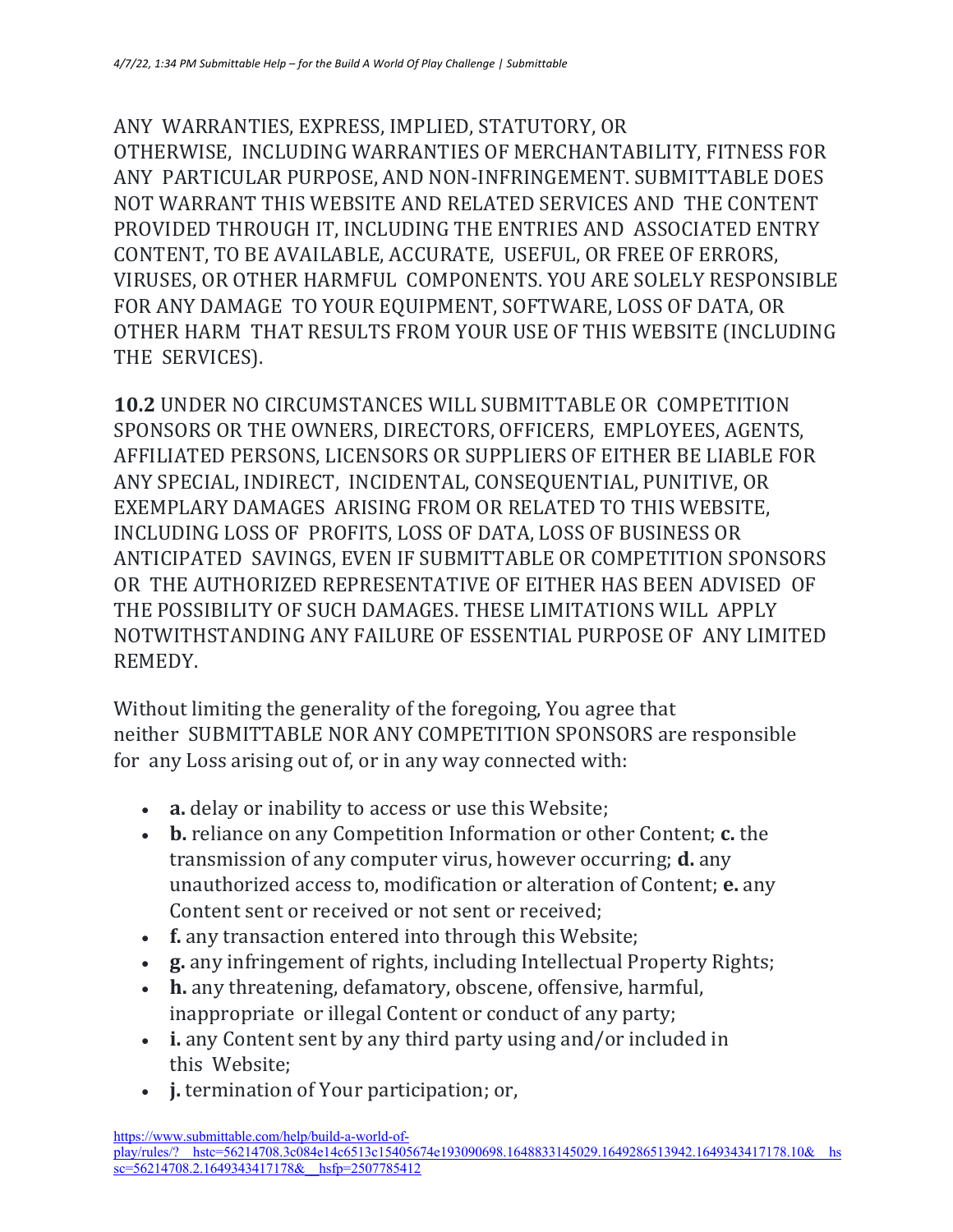ANY WARRANTIES, EXPRESS, IMPLIED, STATUTORY, OR OTHERWISE, INCLUDING WARRANTIES OF MERCHANTABILITY, FITNESS FOR ANY PARTICULAR PURPOSE, AND NON-INFRINGEMENT. SUBMITTABLE DOES NOT WARRANT THIS WEBSITE AND RELATED SERVICES AND THE CONTENT PROVIDED THROUGH IT, INCLUDING THE ENTRIES AND ASSOCIATED ENTRY CONTENT, TO BE AVAILABLE, ACCURATE, USEFUL, OR FREE OF ERRORS, VIRUSES, OR OTHER HARMFUL COMPONENTS. YOU ARE SOLELY RESPONSIBLE FOR ANY DAMAGE TO YOUR EQUIPMENT, SOFTWARE, LOSS OF DATA, OR OTHER HARM THAT RESULTS FROM YOUR USE OF THIS WEBSITE (INCLUDING THE SERVICES).

**10.2** UNDER NO CIRCUMSTANCES WILL SUBMITTABLE OR COMPETITION SPONSORS OR THE OWNERS, DIRECTORS, OFFICERS, EMPLOYEES, AGENTS, AFFILIATED PERSONS, LICENSORS OR SUPPLIERS OF EITHER BE LIABLE FOR ANY SPECIAL, INDIRECT, INCIDENTAL, CONSEQUENTIAL, PUNITIVE, OR EXEMPLARY DAMAGES ARISING FROM OR RELATED TO THIS WEBSITE, INCLUDING LOSS OF PROFITS, LOSS OF DATA, LOSS OF BUSINESS OR ANTICIPATED SAVINGS, EVEN IF SUBMITTABLE OR COMPETITION SPONSORS OR THE AUTHORIZED REPRESENTATIVE OF EITHER HAS BEEN ADVISED OF THE POSSIBILITY OF SUCH DAMAGES. THESE LIMITATIONS WILL APPLY NOTWITHSTANDING ANY FAILURE OF ESSENTIAL PURPOSE OF ANY LIMITED REMEDY.

Without limiting the generality of the foregoing, You agree that neither SUBMITTABLE NOR ANY COMPETITION SPONSORS are responsible for any Loss arising out of, or in any way connected with:

- **a.** delay or inability to access or use this Website;
- **b.** reliance on any Competition Information or other Content; **c.** the transmission of any computer virus, however occurring; **d.** any unauthorized access to, modification or alteration of Content; **e.** any Content sent or received or not sent or received:
- **f.** any transaction entered into through this Website;
- **g.** any infringement of rights, including Intellectual Property Rights;
- **h.** any threatening, defamatory, obscene, offensive, harmful, inappropriate or illegal Content or conduct of any party;
- **i.** any Content sent by any third party using and/or included in this Website;
- **j.** termination of Your participation; or,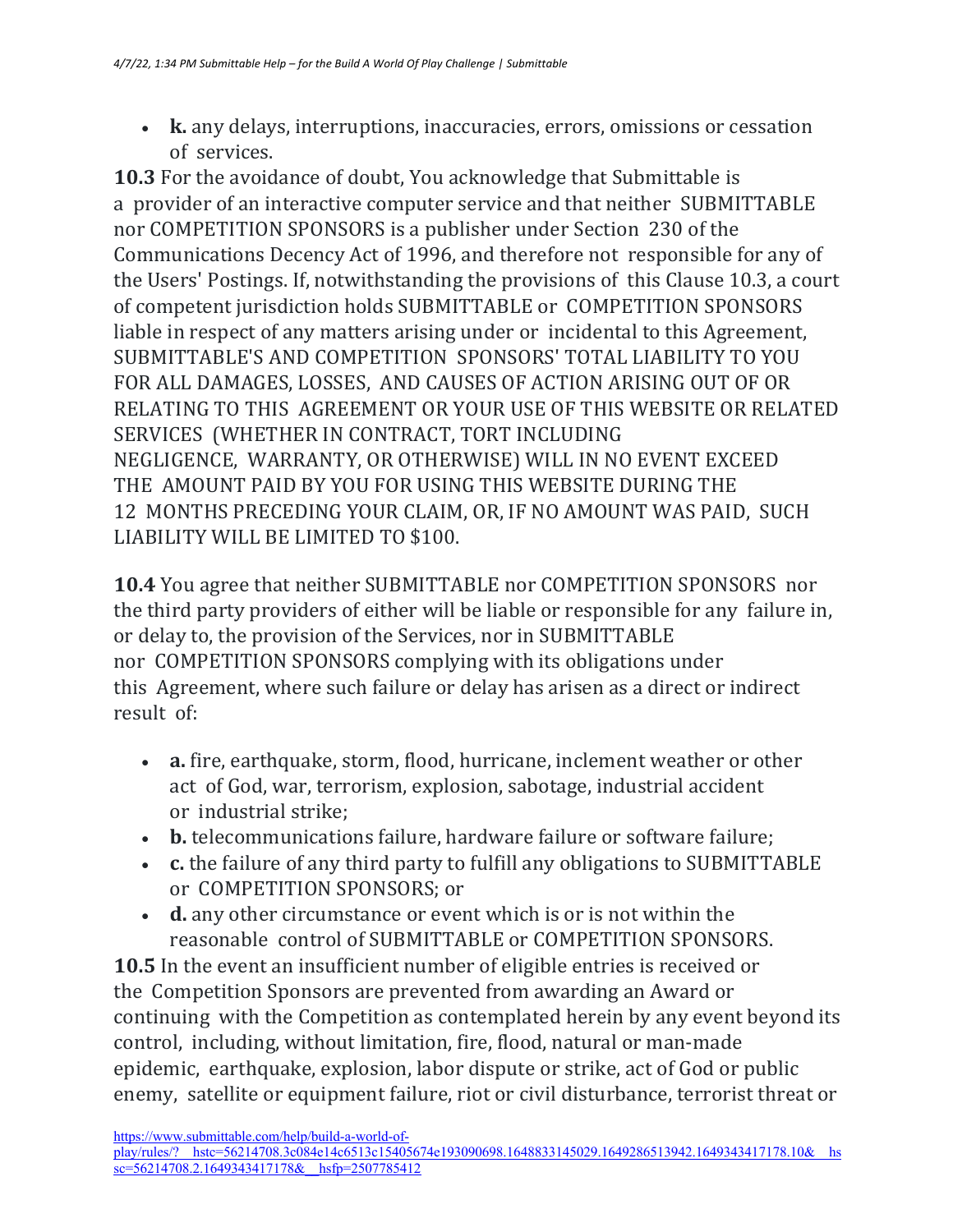• **k.** any delays, interruptions, inaccuracies, errors, omissions or cessation of services.

**10.3** For the avoidance of doubt, You acknowledge that Submittable is a provider of an interactive computer service and that neither SUBMITTABLE nor COMPETITION SPONSORS is a publisher under Section 230 of the Communications Decency Act of 1996, and therefore not responsible for any of the Users' Postings. If, notwithstanding the provisions of this Clause 10.3, a court of competent jurisdiction holds SUBMITTABLE or COMPETITION SPONSORS liable in respect of any matters arising under or incidental to this Agreement, SUBMITTABLE'S AND COMPETITION SPONSORS' TOTAL LIABILITY TO YOU FOR ALL DAMAGES, LOSSES, AND CAUSES OF ACTION ARISING OUT OF OR RELATING TO THIS AGREEMENT OR YOUR USE OF THIS WEBSITE OR RELATED SERVICES (WHETHER IN CONTRACT, TORT INCLUDING NEGLIGENCE, WARRANTY, OR OTHERWISE) WILL IN NO EVENT EXCEED THE AMOUNT PAID BY YOU FOR USING THIS WEBSITE DURING THE 12 MONTHS PRECEDING YOUR CLAIM, OR, IF NO AMOUNT WAS PAID, SUCH LIABILITY WILL BE LIMITED TO \$100.

**10.4** You agree that neither SUBMITTABLE nor COMPETITION SPONSORS nor the third party providers of either will be liable or responsible for any failure in, or delay to, the provision of the Services, nor in SUBMITTABLE nor COMPETITION SPONSORS complying with its obligations under this Agreement, where such failure or delay has arisen as a direct or indirect result of:

- **a.** fire, earthquake, storm, flood, hurricane, inclement weather or other act of God, war, terrorism, explosion, sabotage, industrial accident or industrial strike;
- **b.** telecommunications failure, hardware failure or software failure;
- **c.** the failure of any third party to fulfill any obligations to SUBMITTABLE or COMPETITION SPONSORS; or
- **d.** any other circumstance or event which is or is not within the reasonable control of SUBMITTABLE or COMPETITION SPONSORS.

**10.5** In the event an insufficient number of eligible entries is received or the Competition Sponsors are prevented from awarding an Award or continuing with the Competition as contemplated herein by any event beyond its control, including, without limitation, fire, flood, natural or man-made epidemic, earthquake, explosion, labor dispute or strike, act of God or public enemy, satellite or equipment failure, riot or civil disturbance, terrorist threat or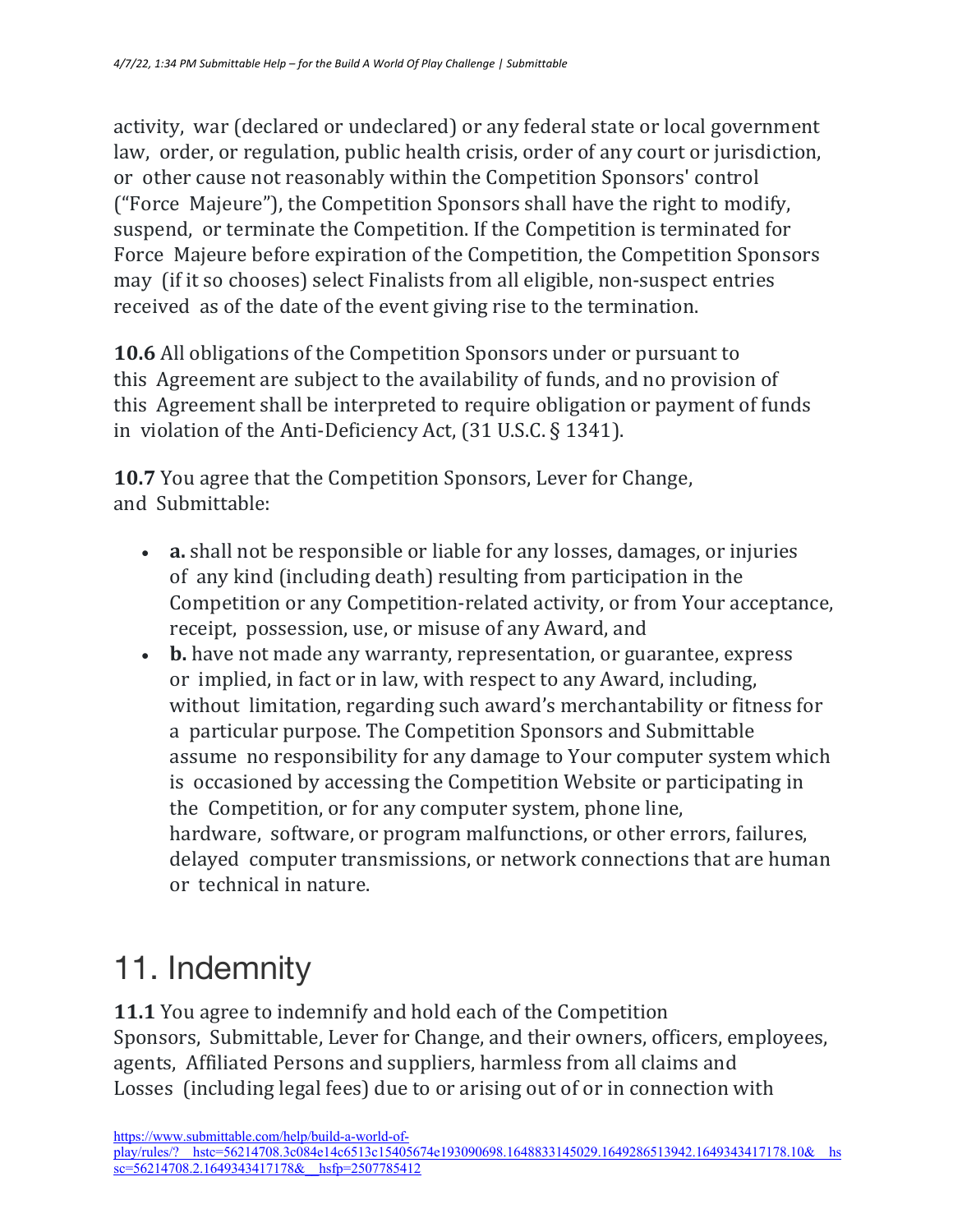activity, war (declared or undeclared) or any federal state or local government law, order, or regulation, public health crisis, order of any court or jurisdiction, or other cause not reasonably within the Competition Sponsors' control ("Force Majeure"), the Competition Sponsors shall have the right to modify, suspend, or terminate the Competition. If the Competition is terminated for Force Majeure before expiration of the Competition, the Competition Sponsors may (if it so chooses) select Finalists from all eligible, non-suspect entries received as of the date of the event giving rise to the termination.

**10.6** All obligations of the Competition Sponsors under or pursuant to this Agreement are subject to the availability of funds, and no provision of this Agreement shall be interpreted to require obligation or payment of funds in violation of the Anti-Deficiency Act,  $(31 \text{ U.S.C.} \S 1341)$ .

**10.7** You agree that the Competition Sponsors, Lever for Change, and Submittable:

- **a.** shall not be responsible or liable for any losses, damages, or injuries of any kind (including death) resulting from participation in the Competition or any Competition-related activity, or from Your acceptance, receipt, possession, use, or misuse of any Award, and
- **b.** have not made any warranty, representation, or guarantee, express or implied, in fact or in law, with respect to any Award, including, without limitation, regarding such award's merchantability or fitness for a particular purpose. The Competition Sponsors and Submittable assume no responsibility for any damage to Your computer system which is occasioned by accessing the Competition Website or participating in the Competition, or for any computer system, phone line, hardware, software, or program malfunctions, or other errors, failures, delayed computer transmissions, or network connections that are human or technical in nature.

# 11. Indemnity

**11.1** You agree to indemnify and hold each of the Competition Sponsors, Submittable, Lever for Change, and their owners, officers, employees, agents, Affiliated Persons and suppliers, harmless from all claims and Losses (including legal fees) due to or arising out of or in connection with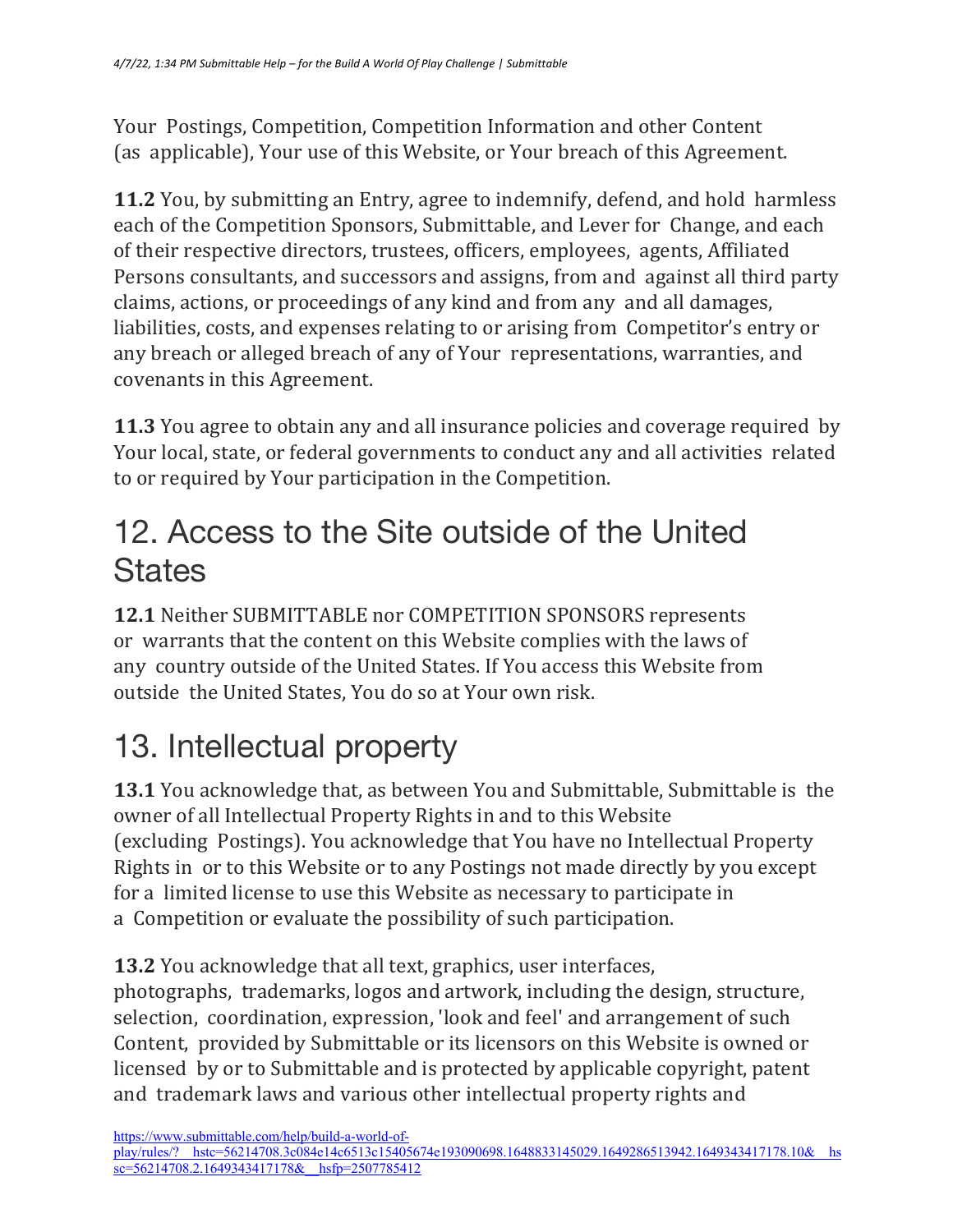Your Postings, Competition, Competition Information and other Content (as applicable), Your use of this Website, or Your breach of this Agreement.

**11.2** You, by submitting an Entry, agree to indemnify, defend, and hold harmless each of the Competition Sponsors, Submittable, and Lever for Change, and each of their respective directors, trustees, officers, employees, agents, Affiliated Persons consultants, and successors and assigns, from and against all third party claims, actions, or proceedings of any kind and from any and all damages, liabilities, costs, and expenses relating to or arising from Competitor's entry or any breach or alleged breach of any of Your representations, warranties, and covenants in this Agreement.

**11.3** You agree to obtain any and all insurance policies and coverage required by Your local, state, or federal governments to conduct any and all activities related to or required by Your participation in the Competition.

#### 12. Access to the Site outside of the United **States**

**12.1** Neither SUBMITTABLE nor COMPETITION SPONSORS represents or warrants that the content on this Website complies with the laws of any country outside of the United States. If You access this Website from outside the United States, You do so at Your own risk.

# 13. Intellectual property

**13.1** You acknowledge that, as between You and Submittable, Submittable is the owner of all Intellectual Property Rights in and to this Website (excluding Postings). You acknowledge that You have no Intellectual Property Rights in or to this Website or to any Postings not made directly by you except for a limited license to use this Website as necessary to participate in a Competition or evaluate the possibility of such participation.

**13.2** You acknowledge that all text, graphics, user interfaces, photographs, trademarks, logos and artwork, including the design, structure, selection, coordination, expression, 'look and feel' and arrangement of such Content, provided by Submittable or its licensors on this Website is owned or licensed by or to Submittable and is protected by applicable copyright, patent and trademark laws and various other intellectual property rights and

https://www.submittable.com/help/build-a-world-ofplay/rules/?\_\_hstc=56214708.3c084e14c6513c15405674e193090698.1648833145029.1649286513942.1649343417178.10&\_\_hs sc=56214708.2.1649343417178& hsfp=2507785412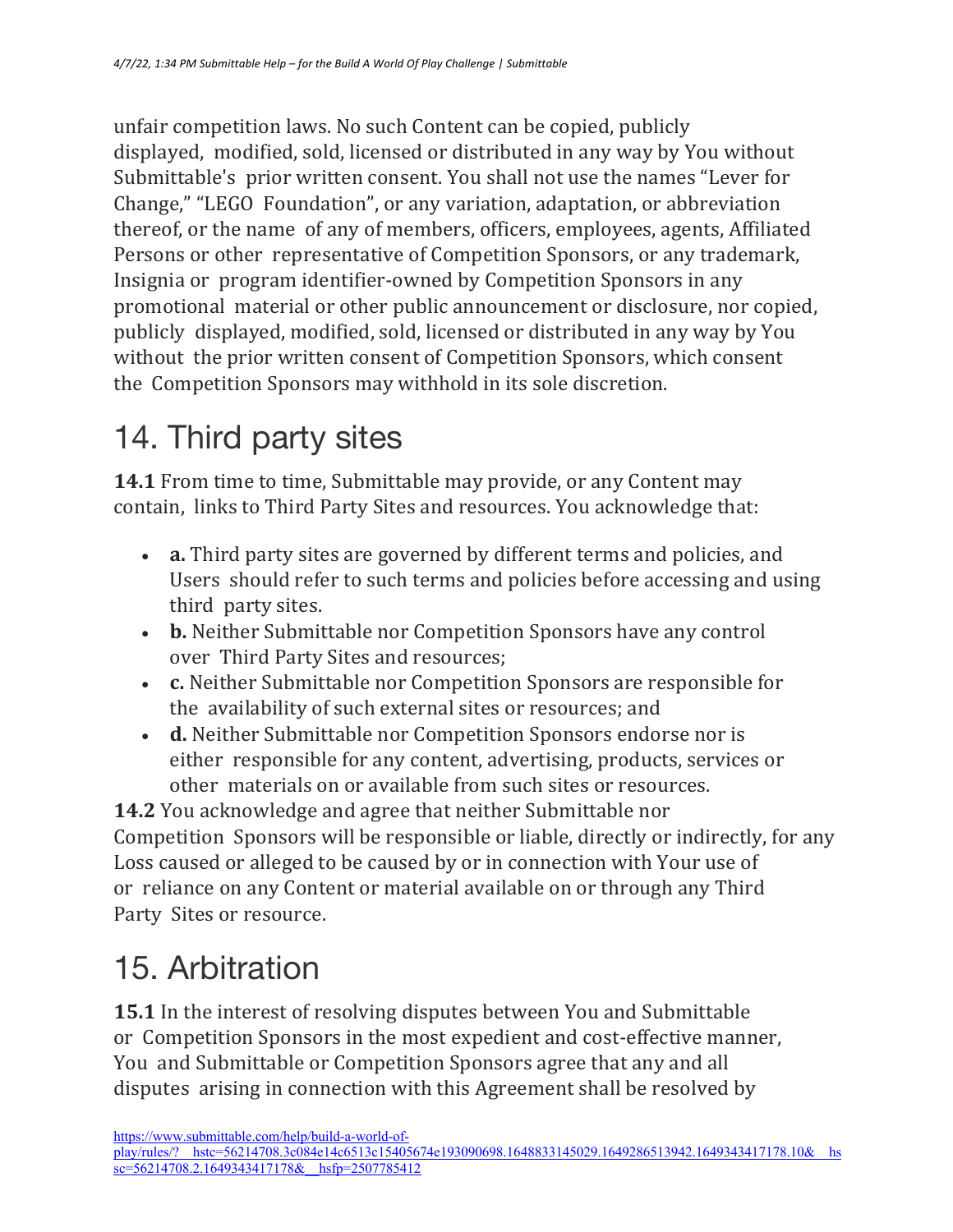unfair competition laws. No such Content can be copied, publicly displayed, modified, sold, licensed or distributed in any way by You without Submittable's prior written consent. You shall not use the names "Lever for Change," "LEGO Foundation", or any variation, adaptation, or abbreviation thereof, or the name of any of members, officers, employees, agents, Affiliated Persons or other representative of Competition Sponsors, or any trademark, Insignia or program identifier-owned by Competition Sponsors in any promotional material or other public announcement or disclosure, nor copied, publicly displayed, modified, sold, licensed or distributed in any way by You without the prior written consent of Competition Sponsors, which consent the Competition Sponsors may withhold in its sole discretion.

# 14. Third party sites

**14.1** From time to time, Submittable may provide, or any Content may contain, links to Third Party Sites and resources. You acknowledge that:

- **a.** Third party sites are governed by different terms and policies, and Users should refer to such terms and policies before accessing and using third party sites.
- **b.** Neither Submittable nor Competition Sponsors have any control over Third Party Sites and resources;
- **c.** Neither Submittable nor Competition Sponsors are responsible for the availability of such external sites or resources; and
- **d.** Neither Submittable nor Competition Sponsors endorse nor is either responsible for any content, advertising, products, services or other materials on or available from such sites or resources.

**14.2** You acknowledge and agree that neither Submittable nor Competition Sponsors will be responsible or liable, directly or indirectly, for any Loss caused or alleged to be caused by or in connection with Your use of or reliance on any Content or material available on or through any Third Party Sites or resource.

# 15. Arbitration

**15.1** In the interest of resolving disputes between You and Submittable or Competition Sponsors in the most expedient and cost-effective manner, You and Submittable or Competition Sponsors agree that any and all disputes arising in connection with this Agreement shall be resolved by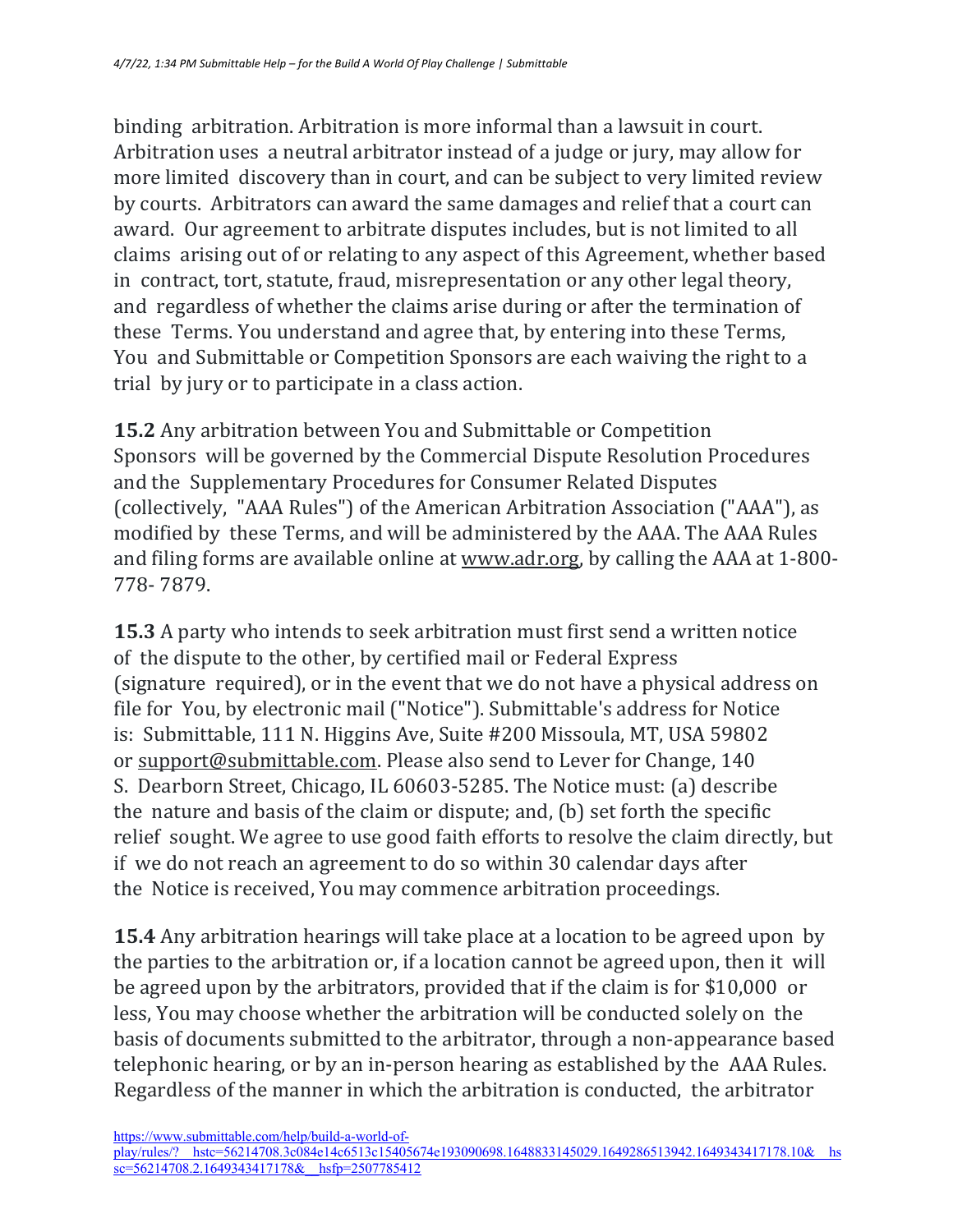binding arbitration. Arbitration is more informal than a lawsuit in court. Arbitration uses a neutral arbitrator instead of a judge or jury, may allow for more limited discovery than in court, and can be subject to very limited review by courts. Arbitrators can award the same damages and relief that a court can award. Our agreement to arbitrate disputes includes, but is not limited to all claims arising out of or relating to any aspect of this Agreement, whether based in contract, tort, statute, fraud, misrepresentation or any other legal theory, and regardless of whether the claims arise during or after the termination of these Terms. You understand and agree that, by entering into these Terms, You and Submittable or Competition Sponsors are each waiving the right to a trial by jury or to participate in a class action.

**15.2** Any arbitration between You and Submittable or Competition Sponsors will be governed by the Commercial Dispute Resolution Procedures and the Supplementary Procedures for Consumer Related Disputes (collectively, "AAA Rules") of the American Arbitration Association ("AAA"), as modified by these Terms, and will be administered by the AAA. The AAA Rules and filing forms are available online at www.adr.org, by calling the AAA at 1-800-778- 7879.

**15.3** A party who intends to seek arbitration must first send a written notice of the dispute to the other, by certified mail or Federal Express (signature required), or in the event that we do not have a physical address on file for You, by electronic mail ("Notice"). Submittable's address for Notice is: Submittable, 111 N. Higgins Ave, Suite #200 Missoula, MT, USA 59802 or support@submittable.com. Please also send to Lever for Change, 140 S. Dearborn Street, Chicago, IL 60603-5285. The Notice must: (a) describe the nature and basis of the claim or dispute; and,  $(b)$  set forth the specific relief sought. We agree to use good faith efforts to resolve the claim directly, but if we do not reach an agreement to do so within 30 calendar days after the Notice is received, You may commence arbitration proceedings.

**15.4** Any arbitration hearings will take place at a location to be agreed upon by the parties to the arbitration or, if a location cannot be agreed upon, then it will be agreed upon by the arbitrators, provided that if the claim is for \$10,000 or less, You may choose whether the arbitration will be conducted solely on the basis of documents submitted to the arbitrator, through a non-appearance based telephonic hearing, or by an in-person hearing as established by the AAA Rules. Regardless of the manner in which the arbitration is conducted, the arbitrator

https://www.submittable.com/help/build-a-world-of-

play/rules/?\_\_hstc=56214708.3c084e14c6513c15405674e193090698.1648833145029.1649286513942.1649343417178.10&\_\_hs  $s = 56214708.2.16493434171788$  hsfp=2507785412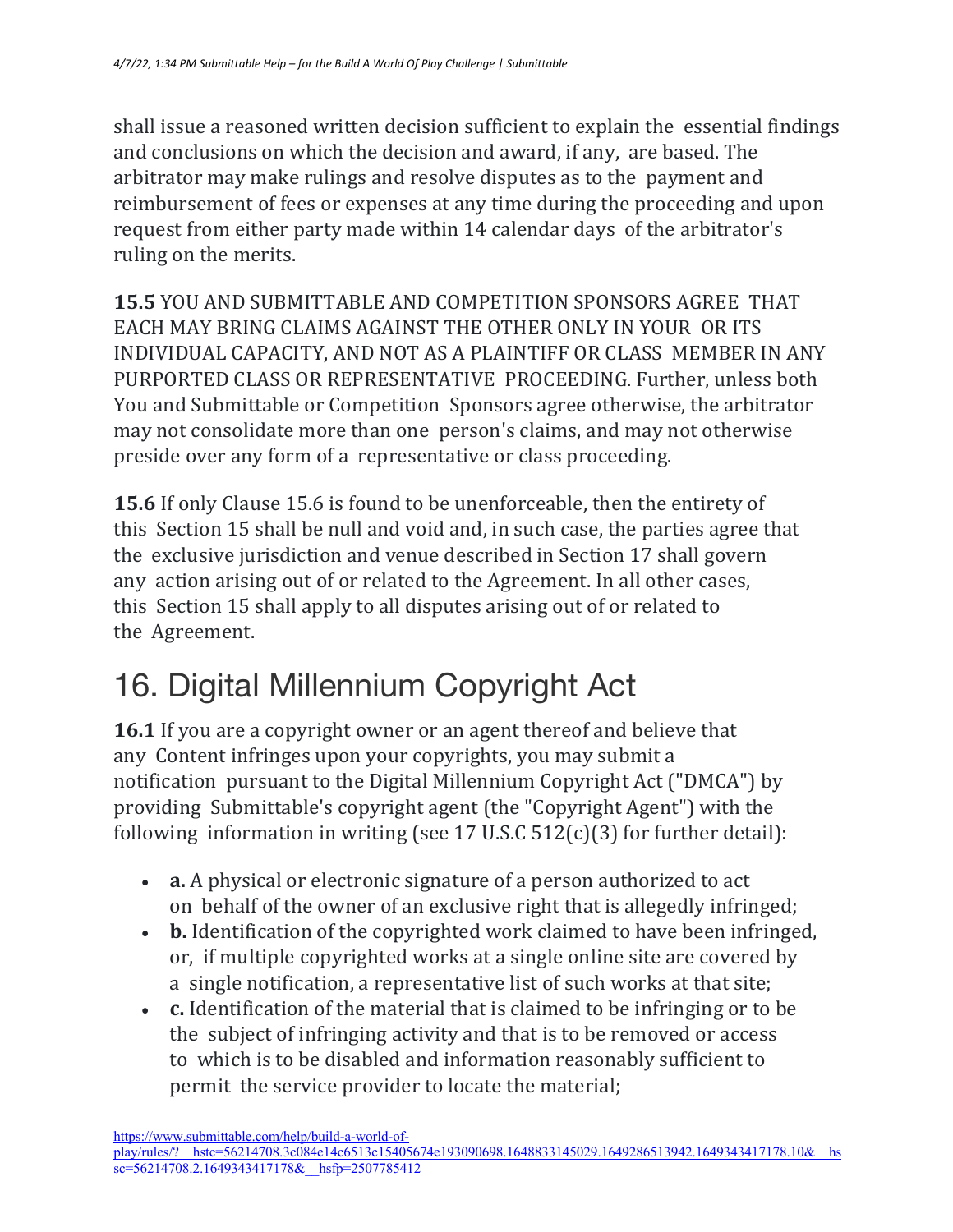shall issue a reasoned written decision sufficient to explain the essential findings and conclusions on which the decision and award, if any, are based. The arbitrator may make rulings and resolve disputes as to the payment and reimbursement of fees or expenses at any time during the proceeding and upon request from either party made within 14 calendar days of the arbitrator's ruling on the merits.

**15.5** YOU AND SUBMITTABLE AND COMPETITION SPONSORS AGREE THAT EACH MAY BRING CLAIMS AGAINST THE OTHER ONLY IN YOUR OR ITS INDIVIDUAL CAPACITY, AND NOT AS A PLAINTIFF OR CLASS MEMBER IN ANY PURPORTED CLASS OR REPRESENTATIVE PROCEEDING. Further, unless both You and Submittable or Competition Sponsors agree otherwise, the arbitrator may not consolidate more than one person's claims, and may not otherwise preside over any form of a representative or class proceeding.

**15.6** If only Clause 15.6 is found to be unenforceable, then the entirety of this Section 15 shall be null and void and, in such case, the parties agree that the exclusive jurisdiction and venue described in Section 17 shall govern any action arising out of or related to the Agreement. In all other cases, this Section 15 shall apply to all disputes arising out of or related to the Agreement.

# 16. Digital Millennium Copyright Act

**16.1** If you are a copyright owner or an agent thereof and believe that any Content infringes upon your copyrights, you may submit a notification pursuant to the Digital Millennium Copyright Act ("DMCA") by providing Submittable's copyright agent (the "Copyright Agent") with the following information in writing (see 17 U.S.C  $512(c)(3)$  for further detail):

- **a.** A physical or electronic signature of a person authorized to act on behalf of the owner of an exclusive right that is allegedly infringed;
- **b.** Identification of the copyrighted work claimed to have been infringed, or, if multiple copyrighted works at a single online site are covered by a single notification, a representative list of such works at that site;
- **c.** Identification of the material that is claimed to be infringing or to be the subject of infringing activity and that is to be removed or access to which is to be disabled and information reasonably sufficient to permit the service provider to locate the material;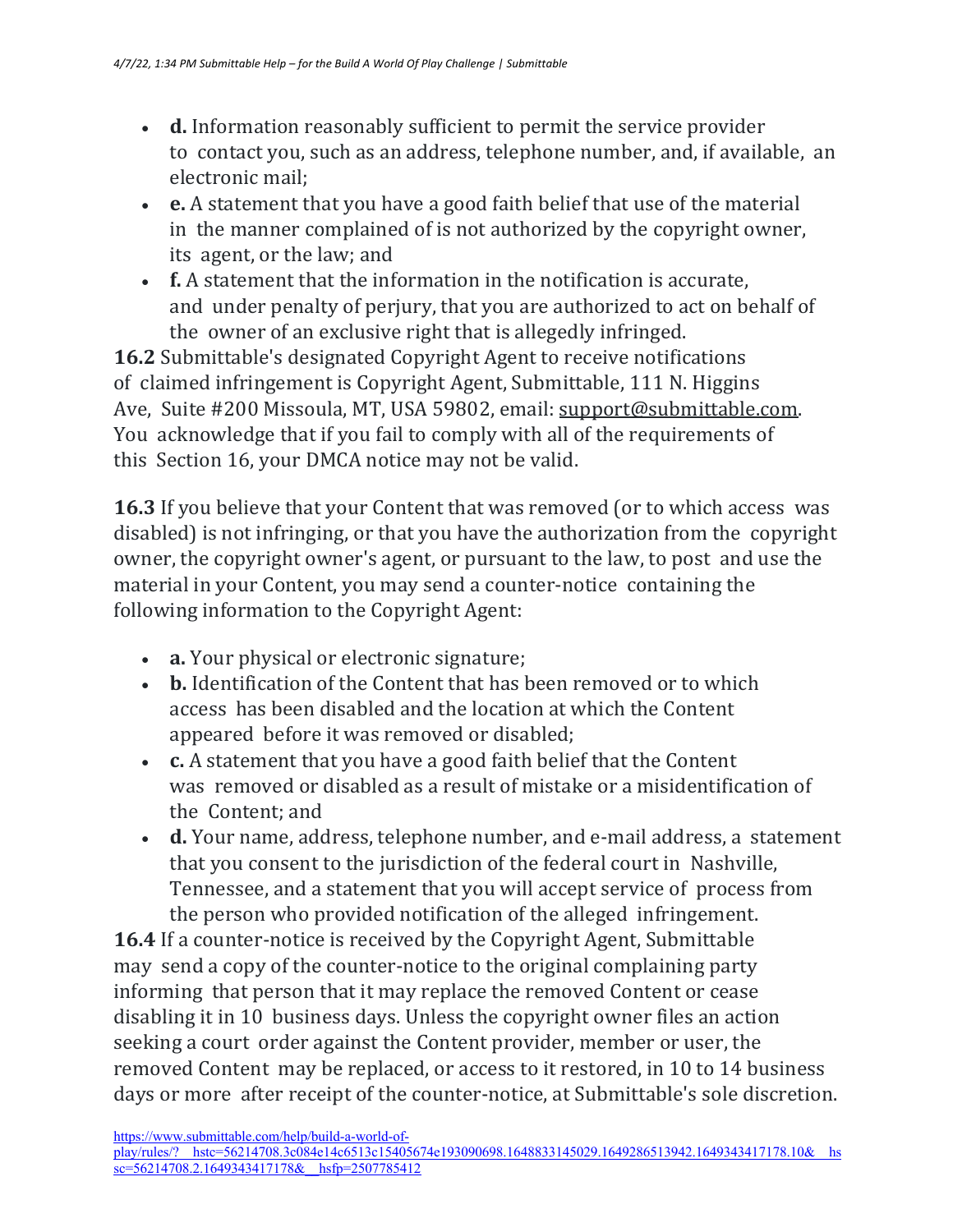- **d.** Information reasonably sufficient to permit the service provider to contact you, such as an address, telephone number, and, if available, an electronic mail:
- **e.** A statement that you have a good faith belief that use of the material in the manner complained of is not authorized by the copyright owner, its agent, or the law; and
- **f.** A statement that the information in the notification is accurate, and under penalty of perjury, that you are authorized to act on behalf of the owner of an exclusive right that is allegedly infringed.

**16.2** Submittable's designated Copyright Agent to receive notifications of claimed infringement is Copyright Agent, Submittable, 111 N. Higgins Ave, Suite #200 Missoula, MT, USA 59802, email: support@submittable.com. You acknowledge that if you fail to comply with all of the requirements of this Section 16, your DMCA notice may not be valid.

**16.3** If you believe that your Content that was removed (or to which access was disabled) is not infringing, or that you have the authorization from the copyright owner, the copyright owner's agent, or pursuant to the law, to post and use the material in your Content, you may send a counter-notice containing the following information to the Copyright Agent:

- **a.** Your physical or electronic signature;
- **b.** Identification of the Content that has been removed or to which access has been disabled and the location at which the Content appeared before it was removed or disabled;
- **c.** A statement that you have a good faith belief that the Content was removed or disabled as a result of mistake or a misidentification of the Content; and
- **d.** Your name, address, telephone number, and e-mail address, a statement that you consent to the jurisdiction of the federal court in Nashville, Tennessee, and a statement that you will accept service of process from the person who provided notification of the alleged infringement.

**16.4** If a counter-notice is received by the Copyright Agent, Submittable may send a copy of the counter-notice to the original complaining party informing that person that it may replace the removed Content or cease disabling it in 10 business days. Unless the copyright owner files an action seeking a court order against the Content provider, member or user, the removed Content may be replaced, or access to it restored, in 10 to 14 business days or more after receipt of the counter-notice, at Submittable's sole discretion.

https://www.submittable.com/help/build-a-world-of-

play/rules/?\_\_hstc=56214708.3c084e14c6513c15405674e193090698.1648833145029.1649286513942.1649343417178.10&\_\_hs  $s = 56214708.2.16493434171788$  hsfp=2507785412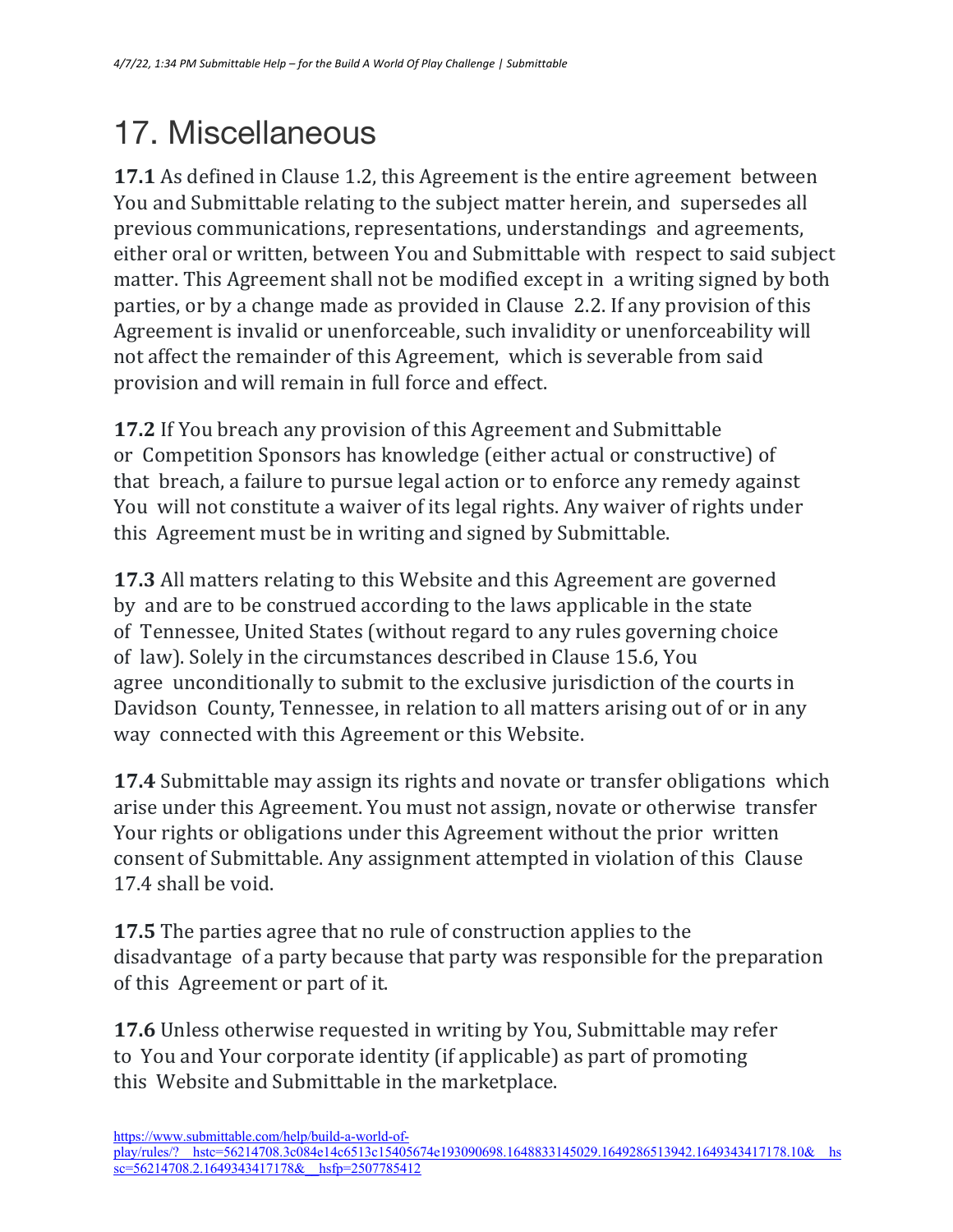# 17. Miscellaneous

**17.1** As defined in Clause 1.2, this Agreement is the entire agreement between You and Submittable relating to the subject matter herein, and supersedes all previous communications, representations, understandings and agreements, either oral or written, between You and Submittable with respect to said subject matter. This Agreement shall not be modified except in a writing signed by both parties, or by a change made as provided in Clause 2.2. If any provision of this Agreement is invalid or unenforceable, such invalidity or unenforceability will not affect the remainder of this Agreement, which is severable from said provision and will remain in full force and effect.

**17.2** If You breach any provision of this Agreement and Submittable or Competition Sponsors has knowledge (either actual or constructive) of that breach, a failure to pursue legal action or to enforce any remedy against You will not constitute a waiver of its legal rights. Any waiver of rights under this Agreement must be in writing and signed by Submittable.

**17.3** All matters relating to this Website and this Agreement are governed by and are to be construed according to the laws applicable in the state of Tennessee, United States (without regard to any rules governing choice of law). Solely in the circumstances described in Clause 15.6, You agree unconditionally to submit to the exclusive jurisdiction of the courts in Davidson County, Tennessee, in relation to all matters arising out of or in any way connected with this Agreement or this Website.

**17.4** Submittable may assign its rights and novate or transfer obligations which arise under this Agreement. You must not assign, novate or otherwise transfer Your rights or obligations under this Agreement without the prior written consent of Submittable. Any assignment attempted in violation of this Clause 17.4 shall be void.

**17.5** The parties agree that no rule of construction applies to the disadvantage of a party because that party was responsible for the preparation of this Agreement or part of it.

**17.6** Unless otherwise requested in writing by You, Submittable may refer to You and Your corporate identity (if applicable) as part of promoting this Website and Submittable in the marketplace.